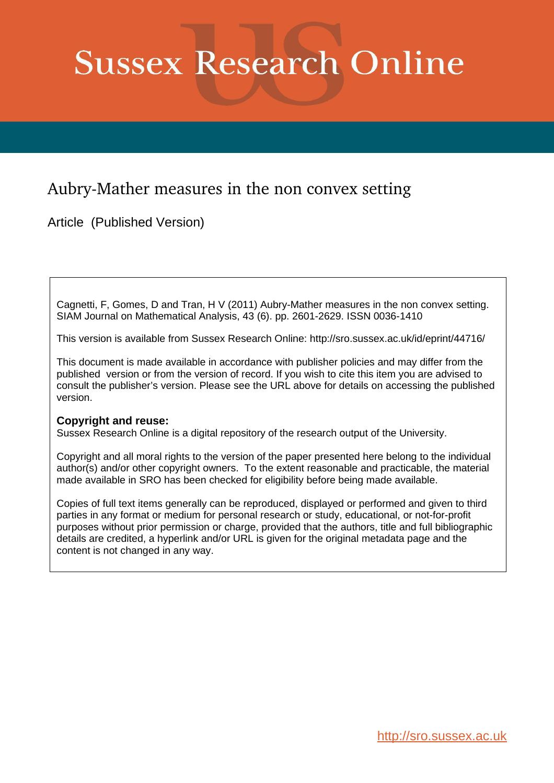# **Sussex Research Online**

## Aubry-Mather measures in the non convex setting

Article (Published Version)

Cagnetti, F, Gomes, D and Tran, H V (2011) Aubry-Mather measures in the non convex setting. SIAM Journal on Mathematical Analysis, 43 (6). pp. 2601-2629. ISSN 0036-1410

This version is available from Sussex Research Online: http://sro.sussex.ac.uk/id/eprint/44716/

This document is made available in accordance with publisher policies and may differ from the published version or from the version of record. If you wish to cite this item you are advised to consult the publisher's version. Please see the URL above for details on accessing the published version.

### **Copyright and reuse:**

Sussex Research Online is a digital repository of the research output of the University.

Copyright and all moral rights to the version of the paper presented here belong to the individual author(s) and/or other copyright owners. To the extent reasonable and practicable, the material made available in SRO has been checked for eligibility before being made available.

Copies of full text items generally can be reproduced, displayed or performed and given to third parties in any format or medium for personal research or study, educational, or not-for-profit purposes without prior permission or charge, provided that the authors, title and full bibliographic details are credited, a hyperlink and/or URL is given for the original metadata page and the content is not changed in any way.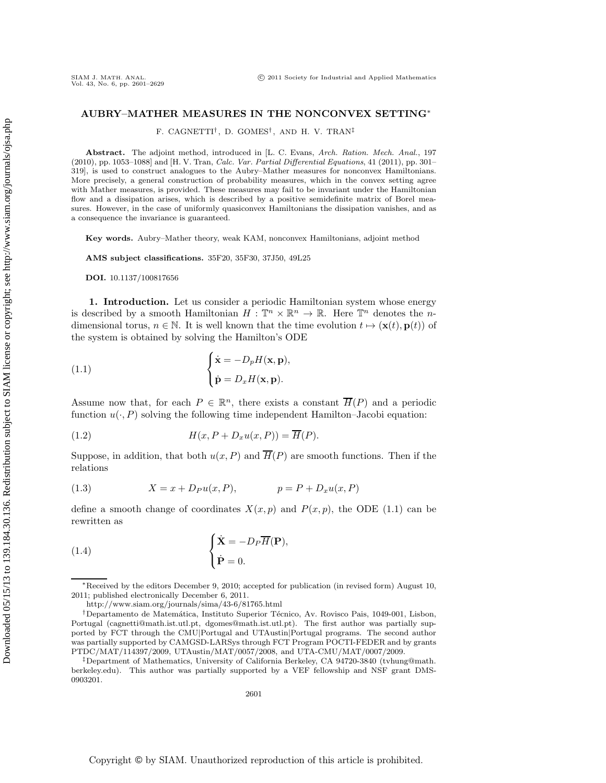#### **AUBRY–MATHER MEASURES IN THE NONCONVEX SETTING**∗

F. CAGNETTI† , D. GOMES† , AND H. V. TRAN‡

**Abstract.** The adjoint method, introduced in [L. C. Evans, Arch. Ration. Mech. Anal., 197  $(2010)$ , pp. 1053–1088] and [H. V. Tran, *Calc. Var. Partial Differential Equations*, 41 (2011), pp. 301– 319], is used to construct analogues to the Aubry–Mather measures for nonconvex Hamiltonians. More precisely, a general construction of probability measures, which in the convex setting agree with Mather measures, is provided. These measures may fail to be invariant under the Hamiltonian flow and a dissipation arises, which is described by a positive semidefinite matrix of Borel measures. However, in the case of uniformly quasiconvex Hamiltonians the dissipation vanishes, and as a consequence the invariance is guaranteed.

**Key words.** Aubry–Mather theory, weak KAM, nonconvex Hamiltonians, adjoint method

**AMS subject classifications.** 35F20, 35F30, 37J50, 49L25

**DOI.** 10.1137/100817656

**1. Introduction.** Let us consider a periodic Hamiltonian system whose energy is described by a smooth Hamiltonian  $H : \mathbb{T}^n \times \mathbb{R}^n \to \mathbb{R}$ . Here  $\mathbb{T}^n$  denotes the *n*dimensional torus,  $n \in \mathbb{N}$ . It is well known that the time evolution  $t \mapsto (\mathbf{x}(t), \mathbf{p}(t))$  of the system is obtained by solving the Hamilton's ODE

(1.1) 
$$
\begin{cases} \dot{\mathbf{x}} = -D_p H(\mathbf{x}, \mathbf{p}), \\ \dot{\mathbf{p}} = D_x H(\mathbf{x}, \mathbf{p}). \end{cases}
$$

Assume now that, for each  $P \in \mathbb{R}^n$ , there exists a constant  $\overline{H}(P)$  and a periodic function  $u(\cdot, P)$  solving the following time independent Hamilton–Jacobi equation:

(1.2) 
$$
H(x, P + D_x u(x, P)) = \overline{H}(P).
$$

Suppose, in addition, that both  $u(x, P)$  and  $\overline{H}(P)$  are smooth functions. Then if the relations

$$
(1.3) \t\t X = x + D_P u(x, P), \t\t p = P + D_x u(x, P)
$$

define a smooth change of coordinates  $X(x, p)$  and  $P(x, p)$ , the ODE (1.1) can be rewritten as

(1.4) 
$$
\begin{cases} \dot{\mathbf{X}} = -D_P \overline{H}(\mathbf{P}), \\ \dot{\mathbf{P}} = 0. \end{cases}
$$

<sup>∗</sup>Received by the editors December 9, 2010; accepted for publication (in revised form) August 10, 2011; published electronically December 6, 2011.

http://www.siam.org/journals/sima/43-6/81765.html

<sup>&</sup>lt;sup>†</sup>Departamento de Matemática, Instituto Superior Técnico, Av. Rovisco Pais, 1049-001, Lisbon, Portugal (cagnetti@math.ist.utl.pt, dgomes@math.ist.utl.pt). The first author was partially supported by FCT through the CMU*|*Portugal and UTAustin*|*Portugal programs. The second author was partially supported by CAMGSD-LARSys through FCT Program POCTI-FEDER and by grants PTDC/MAT/114397/2009, UTAustin/MAT/0057/2008, and UTA-CMU/MAT/0007/2009.

<sup>‡</sup>Department of Mathematics, University of California Berkeley, CA 94720-3840 (tvhung@math. berkeley.edu). This author was partially supported by a VEF fellowship and NSF grant DMS-0903201.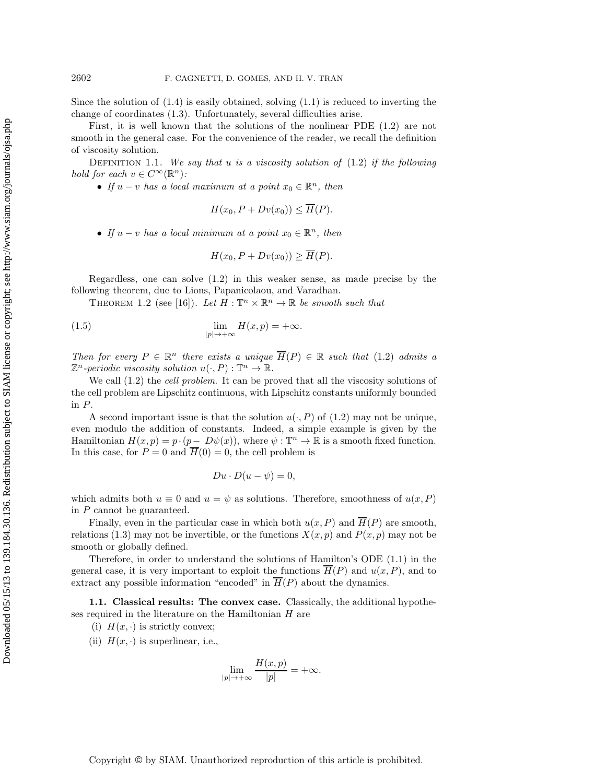Since the solution of  $(1.4)$  is easily obtained, solving  $(1.1)$  is reduced to inverting the change of coordinates (1.3). Unfortunately, several difficulties arise.

First, it is well known that the solutions of the nonlinear PDE (1.2) are not smooth in the general case. For the convenience of the reader, we recall the definition of viscosity solution.

Definition 1.1. *We say that* u *is a viscosity solution of* (1.2) *if the following hold for each*  $v \in C^{\infty}(\mathbb{R}^n)$ *:* 

• *If*  $u - v$  *has a local maximum at a point*  $x_0 \in \mathbb{R}^n$ *, then* 

$$
H(x_0, P + Dv(x_0)) \le \overline{H}(P).
$$

• *If*  $u - v$  *has a local minimum at a point*  $x_0 \in \mathbb{R}^n$ *, then* 

$$
H(x_0, P + Dv(x_0)) \ge \overline{H}(P).
$$

Regardless, one can solve (1.2) in this weaker sense, as made precise by the following theorem, due to Lions, Papanicolaou, and Varadhan.

THEOREM 1.2 (see [16]). Let  $H : \mathbb{T}^n \times \mathbb{R}^n \to \mathbb{R}$  be smooth such that

(1.5) 
$$
\lim_{|p| \to +\infty} H(x,p) = +\infty.
$$

*Then for every*  $P \in \mathbb{R}^n$  *there exists a unique*  $\overline{H}(P) \in \mathbb{R}$  *such that* (1.2) *admits a*  $\mathbb{Z}^n$ -periodic viscosity solution  $u(\cdot, P) : \mathbb{T}^n \to \mathbb{R}$ .

We call (1.2) the *cell problem*. It can be proved that all the viscosity solutions of the cell problem are Lipschitz continuous, with Lipschitz constants uniformly bounded in P.

A second important issue is that the solution  $u(\cdot, P)$  of (1.2) may not be unique, even modulo the addition of constants. Indeed, a simple example is given by the Hamiltonian  $H(x, p) = p \cdot (p - D\psi(x))$ , where  $\psi : \mathbb{T}^n \to \mathbb{R}$  is a smooth fixed function. In this case, for  $P = 0$  and  $\overline{H}(0) = 0$ , the cell problem is

$$
Du\cdot D(u-\psi)=0,
$$

which admits both  $u \equiv 0$  and  $u = \psi$  as solutions. Therefore, smoothness of  $u(x, P)$ in P cannot be guaranteed.

Finally, even in the particular case in which both  $u(x, P)$  and  $\overline{H}(P)$  are smooth, relations (1.3) may not be invertible, or the functions  $X(x, p)$  and  $P(x, p)$  may not be smooth or globally defined.

Therefore, in order to understand the solutions of Hamilton's ODE (1.1) in the general case, it is very important to exploit the functions  $\overline{H}(P)$  and  $u(x, P)$ , and to extract any possible information "encoded" in  $\overline{H}(P)$  about the dynamics.

**1.1. Classical results: The convex case.** Classically, the additional hypotheses required in the literature on the Hamiltonian  $H$  are

(i)  $H(x, \cdot)$  is strictly convex;

(ii)  $H(x, \cdot)$  is superlinear, i.e.,

$$
\lim_{|p| \to +\infty} \frac{H(x,p)}{|p|} = +\infty.
$$

Downloaded 05/15/13 to 139.184.30.136. Redistribution subject to SIAM license or copyright; see http://www.siam.org/journals/ojsa.php Downloaded 05/15/13 to 139.184.30.136. Redistribution subject to SIAM license or copyright; see http://www.siam.org/journals/ojsa.php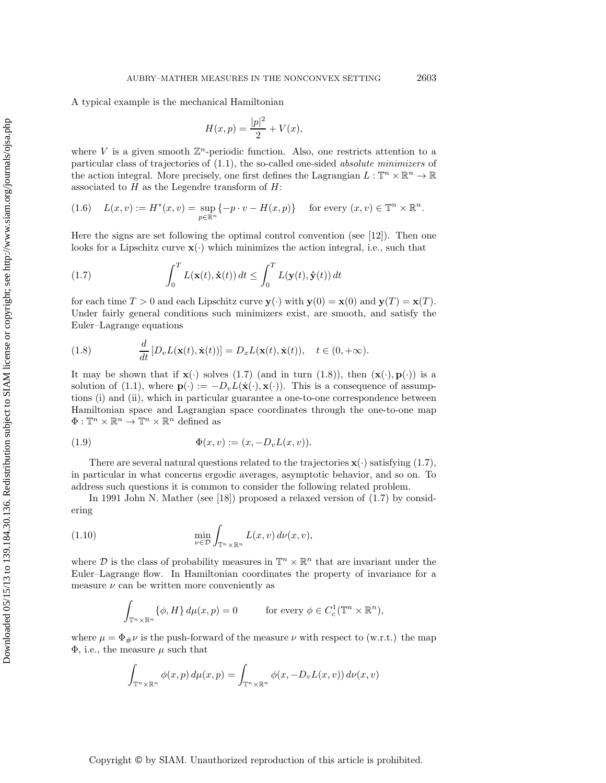A typical example is the mechanical Hamiltonian

$$
H(x, p) = \frac{|p|^2}{2} + V(x),
$$

where V is a given smooth  $\mathbb{Z}^n$ -periodic function. Also, one restricts attention to a particular class of trajectories of (1.1), the so-called one-sided *absolute minimizers* of the action integral. More precisely, one first defines the Lagrangian  $L : \mathbb{T}^n \times \mathbb{R}^n \to \mathbb{R}$ associated to  $H$  as the Legendre transform of  $H$ :

$$
(1.6) \quad L(x,v) := H^*(x,v) = \sup_{p \in \mathbb{R}^n} \{-p \cdot v - H(x,p)\} \quad \text{ for every } (x,v) \in \mathbb{T}^n \times \mathbb{R}^n.
$$

Here the signs are set following the optimal control convention (see [12]). Then one looks for a Lipschitz curve  $\mathbf{x}(\cdot)$  which minimizes the action integral, i.e., such that

(1.7) 
$$
\int_0^T L(\mathbf{x}(t), \dot{\mathbf{x}}(t)) dt \leq \int_0^T L(\mathbf{y}(t), \dot{\mathbf{y}}(t)) dt
$$

for each time  $T > 0$  and each Lipschitz curve  $\mathbf{y}(\cdot)$  with  $\mathbf{y}(0) = \mathbf{x}(0)$  and  $\mathbf{y}(T) = \mathbf{x}(T)$ . Under fairly general conditions such minimizers exist, are smooth, and satisfy the Euler–Lagrange equations

(1.8) 
$$
\frac{d}{dt}[D_v L(\mathbf{x}(t), \dot{\mathbf{x}}(t))] = D_x L(\mathbf{x}(t), \dot{\mathbf{x}}(t)), \quad t \in (0, +\infty).
$$

It may be shown that if  $\mathbf{x}(\cdot)$  solves (1.7) (and in turn (1.8)), then  $(\mathbf{x}(\cdot), \mathbf{p}(\cdot))$  is a solution of (1.1), where  $\mathbf{p}(\cdot) := -D_v L(\dot{\mathbf{x}}(\cdot), \mathbf{x}(\cdot))$ . This is a consequence of assumptions (i) and (ii), which in particular guarantee a one-to-one correspondence between Hamiltonian space and Lagrangian space coordinates through the one-to-one map  $\Phi:\mathbb{T}^{n}\times\mathbb{R}^{n}\rightarrow\mathbb{T}^{n}\times\mathbb{R}^{n}$  defined as

(1.9) 
$$
\Phi(x, v) := (x, -D_v L(x, v)).
$$

There are several natural questions related to the trajectories  $\mathbf{x}(\cdot)$  satisfying (1.7), in particular in what concerns ergodic averages, asymptotic behavior, and so on. To address such questions it is common to consider the following related problem.

In 1991 John N. Mather (see [18]) proposed a relaxed version of (1.7) by considering

(1.10) 
$$
\min_{\nu \in \mathcal{D}} \int_{\mathbb{T}^n \times \mathbb{R}^n} L(x, v) d\nu(x, v),
$$

where  $\mathcal D$  is the class of probability measures in  $\mathbb T^n\times\mathbb R^n$  that are invariant under the Euler–Lagrange flow. In Hamiltonian coordinates the property of invariance for a measure  $\nu$  can be written more conveniently as

$$
\int_{\mathbb{T}^n \times \mathbb{R}^n} {\{\phi, H\} \, d\mu(x, p) = 0} \qquad \text{for every } \phi \in C_c^1(\mathbb{T}^n \times \mathbb{R}^n),
$$

where  $\mu = \Phi_{\mu} \nu$  is the push-forward of the measure  $\nu$  with respect to (w.r.t.) the map  $\Phi$ , i.e., the measure  $\mu$  such that

$$
\int_{\mathbb{T}^n \times \mathbb{R}^n} \phi(x, p) d\mu(x, p) = \int_{\mathbb{T}^n \times \mathbb{R}^n} \phi(x, -D_v L(x, v)) d\nu(x, v)
$$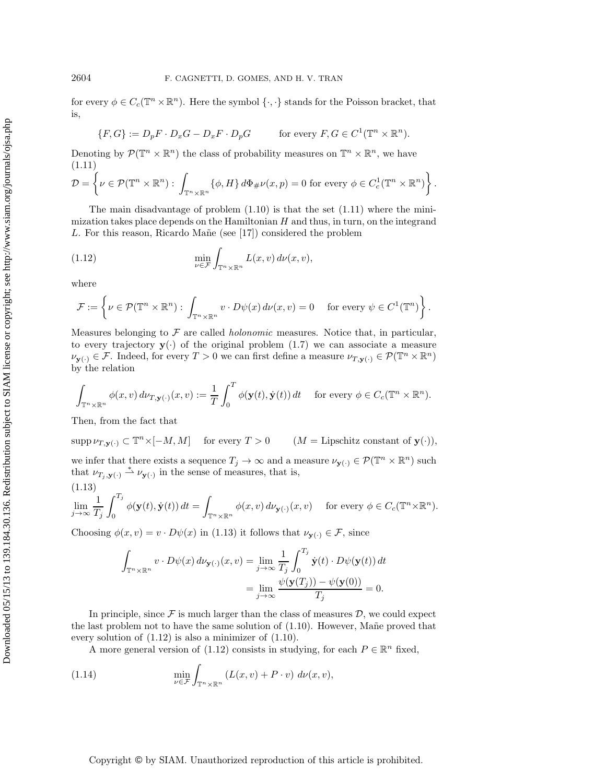for every  $\phi \in C_c(\mathbb{T}^n \times \mathbb{R}^n)$ . Here the symbol  $\{\cdot,\cdot\}$  stands for the Poisson bracket, that is,

$$
\{F, G\} := D_p F \cdot D_x G - D_x F \cdot D_p G \qquad \text{for every } F, G \in C^1(\mathbb{T}^n \times \mathbb{R}^n).
$$

Denoting by  $\mathcal{P}(\mathbb{T}^n \times \mathbb{R}^n)$  the class of probability measures on  $\mathbb{T}^n \times \mathbb{R}^n$ , we have (1.11)

$$
\mathcal{D} = \left\{ \nu \in \mathcal{P}(\mathbb{T}^n \times \mathbb{R}^n) : \int_{\mathbb{T}^n \times \mathbb{R}^n} \{ \phi, H \} d\Phi_{\#} \nu(x, p) = 0 \text{ for every } \phi \in C_c^1(\mathbb{T}^n \times \mathbb{R}^n) \right\}.
$$

The main disadvantage of problem  $(1.10)$  is that the set  $(1.11)$  where the minimization takes place depends on the Hamiltonian  $H$  and thus, in turn, on the integrand L. For this reason, Ricardo Mañe (see  $[17]$ ) considered the problem

(1.12) 
$$
\min_{\nu \in \mathcal{F}} \int_{\mathbb{T}^n \times \mathbb{R}^n} L(x, v) d\nu(x, v),
$$

where

$$
\mathcal{F} := \left\{ \nu \in \mathcal{P}(\mathbb{T}^n \times \mathbb{R}^n) : \int_{\mathbb{T}^n \times \mathbb{R}^n} v \cdot D\psi(x) \, d\nu(x,v) = 0 \quad \text{ for every } \psi \in C^1(\mathbb{T}^n) \right\}.
$$

Measures belonging to F are called *holonomic* measures. Notice that, in particular, to every trajectory  $y(\cdot)$  of the original problem  $(1.7)$  we can associate a measure  $\nu_{\mathbf{y}(\cdot)} \in \mathcal{F}$ . Indeed, for every  $T > 0$  we can first define a measure  $\nu_{T,\mathbf{y}(\cdot)} \in \mathcal{P}(\mathbb{T}^n \times \mathbb{R}^n)$ by the relation

$$
\int_{\mathbb{T}^n\times\mathbb{R}^n}\phi(x,v)\,d\nu_{T,\mathbf{y}(\cdot)}(x,v):=\frac{1}{T}\int_0^T\phi(\mathbf{y}(t),\dot{\mathbf{y}}(t))\,dt\quad\text{ for every }\phi\in C_c(\mathbb{T}^n\times\mathbb{R}^n).
$$

Then, from the fact that

$$
\operatorname{supp} \nu_{T,\mathbf{y}(\cdot)} \subset \mathbb{T}^n \times [-M, M] \quad \text{ for every } T > 0 \qquad (M = \text{Lipschitz constant of } \mathbf{y}(\cdot)),
$$

we infer that there exists a sequence  $T_j \to \infty$  and a measure  $\nu_{\mathbf{y}(\cdot)} \in \mathcal{P}(\mathbb{T}^n \times \mathbb{R}^n)$  such that  $\nu_{T_j, \mathbf{y}(\cdot)} \stackrel{*}{\rightharpoonup} \nu_{\mathbf{y}(\cdot)}$  in the sense of measures, that is,  $(1.13)$ 

$$
\lim_{j\to\infty}\frac{1}{T_j}\int_0^{T_j}\phi(\mathbf{y}(t),\dot{\mathbf{y}}(t))\,dt=\int_{\mathbb{T}^n\times\mathbb{R}^n}\phi(x,v)\,d\nu_{\mathbf{y}(\cdot)}(x,v)\quad\text{ for every }\phi\in C_c(\mathbb{T}^n\times\mathbb{R}^n).
$$

Choosing  $\phi(x, v) = v \cdot D\psi(x)$  in (1.13) it follows that  $\nu_{\mathbf{y}(\cdot)} \in \mathcal{F}$ , since

$$
\int_{\mathbb{T}^n \times \mathbb{R}^n} v \cdot D\psi(x) d\nu_{\mathbf{y}(\cdot)}(x, v) = \lim_{j \to \infty} \frac{1}{T_j} \int_0^{T_j} \dot{\mathbf{y}}(t) \cdot D\psi(\mathbf{y}(t)) dt
$$

$$
= \lim_{j \to \infty} \frac{\psi(\mathbf{y}(T_j)) - \psi(\mathbf{y}(0))}{T_j} = 0.
$$

In principle, since  $\mathcal F$  is much larger than the class of measures  $\mathcal D$ , we could expect the last problem not to have the same solution of  $(1.10)$ . However, Mane proved that every solution of (1.12) is also a minimizer of (1.10).

A more general version of (1.12) consists in studying, for each  $P \in \mathbb{R}^n$  fixed,

(1.14) 
$$
\min_{\nu \in \mathcal{F}} \int_{\mathbb{T}^n \times \mathbb{R}^n} \left( L(x, v) + P \cdot v \right) d\nu(x, v),
$$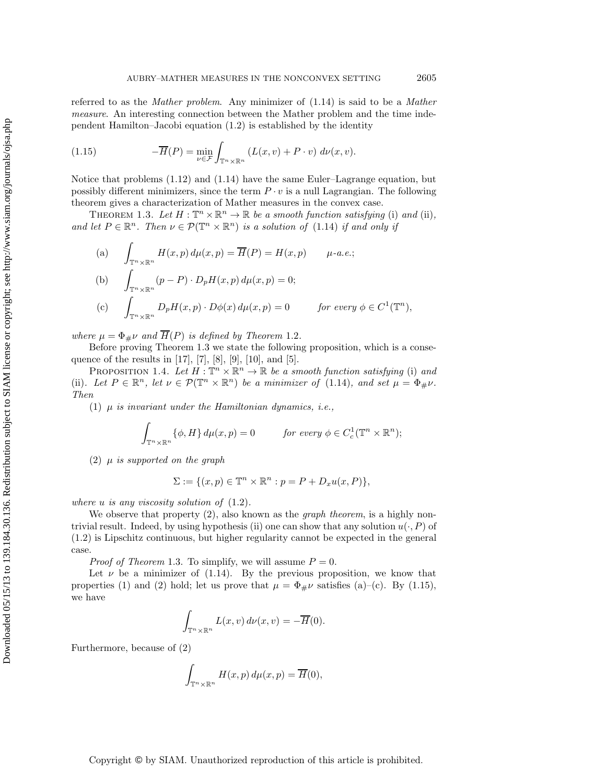referred to as the *Mather problem*. Any minimizer of (1.14) is said to be a *Mather measure*. An interesting connection between the Mather problem and the time independent Hamilton–Jacobi equation (1.2) is established by the identity

(1.15) 
$$
-\overline{H}(P) = \min_{\nu \in \mathcal{F}} \int_{\mathbb{T}^n \times \mathbb{R}^n} \left( L(x, v) + P \cdot v \right) d\nu(x, v).
$$

Notice that problems (1.12) and (1.14) have the same Euler–Lagrange equation, but possibly different minimizers, since the term  $P \cdot v$  is a null Lagrangian. The following theorem gives a characterization of Mather measures in the convex case.

THEOREM 1.3. Let  $H: \mathbb{T}^n \times \mathbb{R}^n \to \mathbb{R}$  be a smooth function satisfying (i) and (ii), and let  $P \in \mathbb{R}^n$ . Then  $\nu \in \mathcal{P}(\mathbb{T}^n \times \mathbb{R}^n)$  *is a solution of* (1.14) *if and only if* 

(a) 
$$
\int_{\mathbb{T}^n \times \mathbb{R}^n} H(x, p) d\mu(x, p) = \overline{H}(P) = H(x, p) \quad \mu \text{-}a.e.;
$$
  
\n(b) 
$$
\int_{\mathbb{T}^n \times \mathbb{R}^n} (p - P) \cdot D_p H(x, p) d\mu(x, p) = 0;
$$
  
\n(c) 
$$
\int_{\mathbb{T}^n \times \mathbb{R}^n} D_p H(x, p) \cdot D\phi(x) d\mu(x, p) = 0 \quad \text{for every } \phi \in C^1(\mathbb{T}^n),
$$

*where*  $\mu = \Phi_{\#}\nu$  *and*  $\overline{H}(P)$  *is defined by Theorem* 1.2*.* 

Before proving Theorem 1.3 we state the following proposition, which is a consequence of the results in [17], [7], [8], [9], [10], and [5].

PROPOSITION 1.4. Let  $H : \mathbb{T}^n \times \mathbb{R}^n \to \mathbb{R}$  be a smooth function satisfying (i) and (ii). Let  $P \in \mathbb{R}^n$ , let  $\nu \in \mathcal{P}(\mathbb{T}^n \times \mathbb{R}^n)$  be a minimizer of (1.14), and set  $\mu = \Phi_{\#}\nu$ . *Then*

(1) μ *is invariant under the Hamiltonian dynamics, i.e.,*

$$
\int_{\mathbb{T}^n \times \mathbb{R}^n} {\{\phi, H\} \, d\mu(x, p) = 0} \qquad \text{for every } \phi \in C_c^1(\mathbb{T}^n \times \mathbb{R}^n);
$$

(2) μ *is supported on the graph*

$$
\Sigma := \{(x, p) \in \mathbb{T}^n \times \mathbb{R}^n : p = P + D_x u(x, P)\},\
$$

*where* u *is any viscosity solution of* (1.2)*.*

We observe that property (2), also known as the *graph theorem*, is a highly nontrivial result. Indeed, by using hypothesis (ii) one can show that any solution  $u(\cdot, P)$  of (1.2) is Lipschitz continuous, but higher regularity cannot be expected in the general case.

*Proof of Theorem* 1.3. To simplify, we will assume  $P = 0$ .

Let  $\nu$  be a minimizer of (1.14). By the previous proposition, we know that properties (1) and (2) hold; let us prove that  $\mu = \Phi_{\#}\nu$  satisfies (a)–(c). By (1.15), we have

$$
\int_{\mathbb{T}^n \times \mathbb{R}^n} L(x, v) d\nu(x, v) = -\overline{H}(0).
$$

Furthermore, because of (2)

$$
\int_{\mathbb{T}^n \times \mathbb{R}^n} H(x, p) d\mu(x, p) = \overline{H}(0),
$$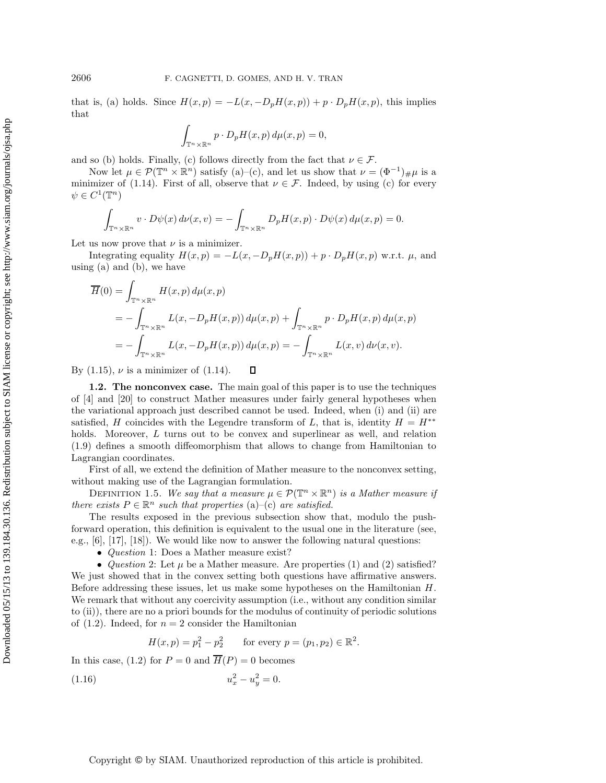that is, (a) holds. Since  $H(x, p) = -L(x, -D_pH(x, p)) + p \cdot D_pH(x, p)$ , this implies that

$$
\int_{\mathbb{T}^n \times \mathbb{R}^n} p \cdot D_p H(x, p) d\mu(x, p) = 0,
$$

and so (b) holds. Finally, (c) follows directly from the fact that  $\nu \in \mathcal{F}$ .

Now let  $\mu \in \mathcal{P}(\mathbb{T}^n \times \mathbb{R}^n)$  satisfy (a)–(c), and let us show that  $\nu = (\Phi^{-1})_{\#}\mu$  is a minimizer of (1.14). First of all, observe that  $\nu \in \mathcal{F}$ . Indeed, by using (c) for every  $\psi \in C^1(\mathbb{T}^n)$ 

$$
\int_{\mathbb{T}^n \times \mathbb{R}^n} v \cdot D\psi(x) \, d\nu(x, v) = -\int_{\mathbb{T}^n \times \mathbb{R}^n} D_p H(x, p) \cdot D\psi(x) \, d\mu(x, p) = 0.
$$

Let us now prove that  $\nu$  is a minimizer.

Integrating equality  $H(x, p) = -L(x, -D_pH(x, p)) + p \cdot D_pH(x, p)$  w.r.t.  $\mu$ , and using (a) and (b), we have

$$
\overline{H}(0) = \int_{\mathbb{T}^n \times \mathbb{R}^n} H(x, p) d\mu(x, p)
$$
\n
$$
= -\int_{\mathbb{T}^n \times \mathbb{R}^n} L(x, -D_p H(x, p)) d\mu(x, p) + \int_{\mathbb{T}^n \times \mathbb{R}^n} p \cdot D_p H(x, p) d\mu(x, p)
$$
\n
$$
= -\int_{\mathbb{T}^n \times \mathbb{R}^n} L(x, -D_p H(x, p)) d\mu(x, p) = -\int_{\mathbb{T}^n \times \mathbb{R}^n} L(x, v) d\nu(x, v).
$$

By  $(1.15)$ ,  $\nu$  is a minimizer of  $(1.14)$ .  $\Box$ 

**1.2. The nonconvex case.** The main goal of this paper is to use the techniques of [4] and [20] to construct Mather measures under fairly general hypotheses when the variational approach just described cannot be used. Indeed, when (i) and (ii) are satisfied, H coincides with the Legendre transform of L, that is, identity  $H = H^{**}$ holds. Moreover, L turns out to be convex and superlinear as well, and relation (1.9) defines a smooth diffeomorphism that allows to change from Hamiltonian to Lagrangian coordinates.

First of all, we extend the definition of Mather measure to the nonconvex setting, without making use of the Lagrangian formulation.

DEFINITION 1.5. *We say that a measure*  $\mu \in \mathcal{P}(\mathbb{T}^n \times \mathbb{R}^n)$  *is a Mather measure if there exists*  $P \in \mathbb{R}^n$  *such that properties* (a)–(c) *are satisfied.* 

The results exposed in the previous subsection show that, modulo the pushforward operation, this definition is equivalent to the usual one in the literature (see, e.g., [6], [17], [18]). We would like now to answer the following natural questions:

• *Question* 1: Does a Mather measure exist?

• *Question* 2: Let  $\mu$  be a Mather measure. Are properties (1) and (2) satisfied? We just showed that in the convex setting both questions have affirmative answers. Before addressing these issues, let us make some hypotheses on the Hamiltonian H. We remark that without any coercivity assumption (i.e., without any condition similar to (ii)), there are no a priori bounds for the modulus of continuity of periodic solutions of  $(1.2)$ . Indeed, for  $n = 2$  consider the Hamiltonian

$$
H(x, p) = p_1^2 - p_2^2 \qquad \text{for every } p = (p_1, p_2) \in \mathbb{R}^2.
$$

In this case, (1.2) for  $P = 0$  and  $\overline{H}(P) = 0$  becomes

$$
(1.16) \t\t u_x^2 - u_y^2 = 0.
$$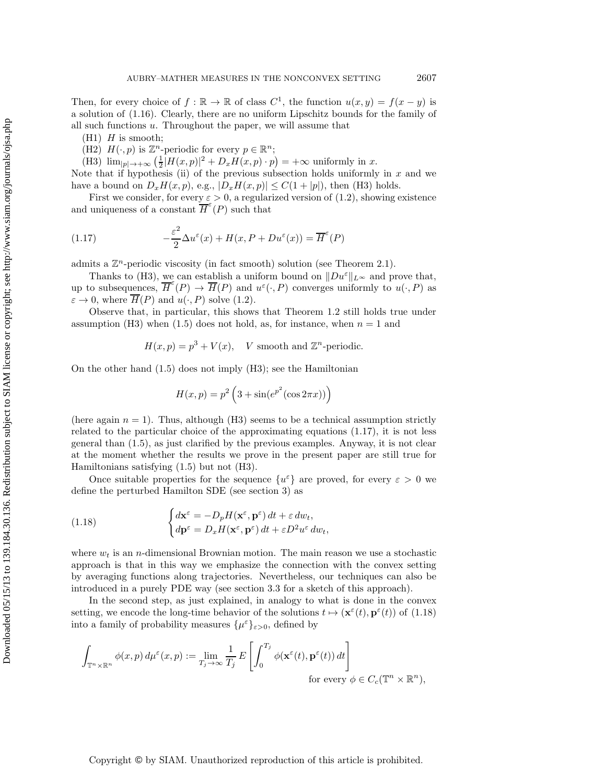Then, for every choice of  $f : \mathbb{R} \to \mathbb{R}$  of class  $C^1$ , the function  $u(x, y) = f(x - y)$  is a solution of (1.16). Clearly, there are no uniform Lipschitz bounds for the family of all such functions u. Throughout the paper, we will assume that

- $(H1)$  H is smooth;
- (H2)  $H(\cdot, p)$  is  $\mathbb{Z}^n$ -periodic for every  $p \in \mathbb{R}^n$ ;

(H3)  $\lim_{|p| \to +\infty} \left( \frac{1}{2} |H(x, p)|^2 + D_x H(x, p) \cdot p \right) = +\infty$  uniformly in x.

Note that if hypothesis (ii) of the previous subsection holds uniformly in  $x$  and we have a bound on  $D_xH(x, p)$ , e.g.,  $|D_xH(x, p)| \leq C(1+|p|)$ , then (H3) holds.

First we consider, for every  $\varepsilon > 0$ , a regularized version of (1.2), showing existence and uniqueness of a constant  $\overline{H}^{\epsilon}(P)$  such that

(1.17) 
$$
-\frac{\varepsilon^2}{2}\Delta u^{\varepsilon}(x) + H(x, P + Du^{\varepsilon}(x)) = \overline{H}^{\varepsilon}(P)
$$

admits a  $\mathbb{Z}^n$ -periodic viscosity (in fact smooth) solution (see Theorem 2.1).

Thanks to (H3), we can establish a uniform bound on  $||Du^{\varepsilon}||_{L^{\infty}}$  and prove that, up to subsequences,  $\overline{H}^{\varepsilon}(P) \to \overline{H}(P)$  and  $u^{\varepsilon}(\cdot, P)$  converges uniformly to  $u(\cdot, P)$  as  $\varepsilon \to 0$ , where  $\overline{H}(P)$  and  $u(\cdot, P)$  solve (1.2).

Observe that, in particular, this shows that Theorem 1.2 still holds true under assumption (H3) when (1.5) does not hold, as, for instance, when  $n = 1$  and

$$
H(x, p) = p3 + V(x), \quad V \text{ smooth and } \mathbb{Z}^n \text{-periodic.}
$$

On the other hand (1.5) does not imply (H3); see the Hamiltonian

$$
H(x,p) = p^2 \left(3 + \sin(e^{p^2}(\cos 2\pi x))\right)
$$

(here again  $n = 1$ ). Thus, although (H3) seems to be a technical assumption strictly related to the particular choice of the approximating equations (1.17), it is not less general than (1.5), as just clarified by the previous examples. Anyway, it is not clear at the moment whether the results we prove in the present paper are still true for Hamiltonians satisfying (1.5) but not (H3).

Once suitable properties for the sequence  $\{u^{\varepsilon}\}\$ are proved, for every  $\varepsilon > 0$  we define the perturbed Hamilton SDE (see section 3) as

(1.18) 
$$
\begin{cases} d\mathbf{x}^{\varepsilon} = -D_p H(\mathbf{x}^{\varepsilon}, \mathbf{p}^{\varepsilon}) dt + \varepsilon dw_t, \\ d\mathbf{p}^{\varepsilon} = D_x H(\mathbf{x}^{\varepsilon}, \mathbf{p}^{\varepsilon}) dt + \varepsilon D^2 u^{\varepsilon} dw_t, \end{cases}
$$

where  $w_t$  is an *n*-dimensional Brownian motion. The main reason we use a stochastic approach is that in this way we emphasize the connection with the convex setting by averaging functions along trajectories. Nevertheless, our techniques can also be introduced in a purely PDE way (see section 3.3 for a sketch of this approach).

In the second step, as just explained, in analogy to what is done in the convex setting, we encode the long-time behavior of the solutions  $t \mapsto (\mathbf{x}^{\varepsilon}(t), \mathbf{p}^{\varepsilon}(t))$  of (1.18) into a family of probability measures  $\{\mu^{\varepsilon}\}_{\varepsilon>0}$ , defined by

$$
\int_{\mathbb{T}^n \times \mathbb{R}^n} \phi(x, p) d\mu^{\varepsilon}(x, p) := \lim_{T_j \to \infty} \frac{1}{T_j} E\left[\int_0^{T_j} \phi(\mathbf{x}^{\varepsilon}(t), \mathbf{p}^{\varepsilon}(t)) dt\right]
$$
  
for every  $\phi \in C_c(\mathbb{T}^n \times \mathbb{R}^n)$ ,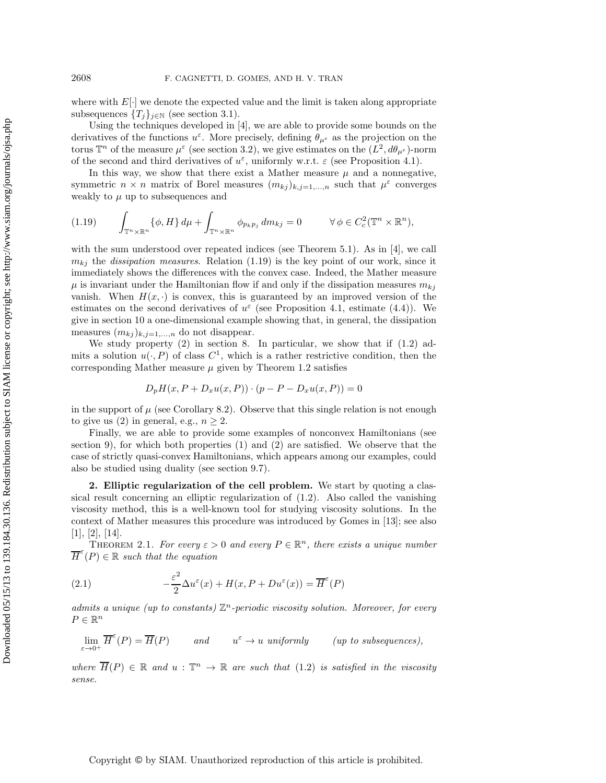where with  $E[\cdot]$  we denote the expected value and the limit is taken along appropriate subsequences  ${T_j}_{j \in \mathbb{N}}$  (see section 3.1).

Using the techniques developed in [4], we are able to provide some bounds on the derivatives of the functions  $u^{\varepsilon}$ . More precisely, defining  $\theta_{\mu^{\varepsilon}}$  as the projection on the torus  $\mathbb{T}^n$  of the measure  $\mu^{\varepsilon}$  (see section 3.2), we give estimates on the  $(L^2, d\theta_{\mu^{\varepsilon}})$ -norm of the second and third derivatives of  $u^{\varepsilon}$ , uniformly w.r.t.  $\varepsilon$  (see Proposition 4.1).

In this way, we show that there exist a Mather measure  $\mu$  and a nonnegative, symmetric  $n \times n$  matrix of Borel measures  $(m_{kj})_{k,j=1,...,n}$  such that  $\mu^{\varepsilon}$  converges weakly to  $\mu$  up to subsequences and

$$
(1.19) \qquad \int_{\mathbb{T}^n \times \mathbb{R}^n} {\{\phi, H\} \, d\mu} + \int_{\mathbb{T}^n \times \mathbb{R}^n} {\phi_{p_k p_j} \, dm_{kj}} = 0 \qquad \forall \phi \in C_c^2(\mathbb{T}^n \times \mathbb{R}^n),
$$

with the sum understood over repeated indices (see Theorem 5.1). As in [4], we call  $m_{ki}$  the *dissipation measures*. Relation (1.19) is the key point of our work, since it immediately shows the differences with the convex case. Indeed, the Mather measure  $\mu$  is invariant under the Hamiltonian flow if and only if the dissipation measures  $m_{ki}$ vanish. When  $H(x, \cdot)$  is convex, this is guaranteed by an improved version of the estimates on the second derivatives of  $u^{\varepsilon}$  (see Proposition 4.1, estimate (4.4)). We give in section 10 a one-dimensional example showing that, in general, the dissipation measures  $(m_{kj})_{k,j=1,\ldots,n}$  do not disappear.

We study property  $(2)$  in section 8. In particular, we show that if  $(1.2)$  admits a solution  $u(\cdot, P)$  of class  $C^1$ , which is a rather restrictive condition, then the corresponding Mather measure  $\mu$  given by Theorem 1.2 satisfies

$$
D_p H(x, P + D_x u(x, P)) \cdot (p - P - D_x u(x, P)) = 0
$$

in the support of  $\mu$  (see Corollary 8.2). Observe that this single relation is not enough to give us (2) in general, e.g.,  $n > 2$ .

Finally, we are able to provide some examples of nonconvex Hamiltonians (see section 9), for which both properties (1) and (2) are satisfied. We observe that the case of strictly quasi-convex Hamiltonians, which appears among our examples, could also be studied using duality (see section 9.7).

**2. Elliptic regularization of the cell problem.** We start by quoting a classical result concerning an elliptic regularization of (1.2). Also called the vanishing viscosity method, this is a well-known tool for studying viscosity solutions. In the context of Mather measures this procedure was introduced by Gomes in [13]; see also  $[1], [2], [14].$ 

THEOREM 2.1. *For every*  $\varepsilon > 0$  and every  $P \in \mathbb{R}^n$ , there exists a unique number  $\overline{H}^{\varepsilon}(P) \in \mathbb{R}$  such that the equation

(2.1) 
$$
-\frac{\varepsilon^2}{2}\Delta u^{\varepsilon}(x) + H(x, P + Du^{\varepsilon}(x)) = \overline{H}^{\varepsilon}(P)
$$

*admits a unique (up to constants)*  $\mathbb{Z}^n$ -periodic viscosity solution. Moreover, for every  $P \in \mathbb{R}^n$ 

$$
\lim_{\varepsilon \to 0^+} \overline{H}^{\varepsilon}(P) = \overline{H}(P) \qquad \text{and} \qquad u^{\varepsilon} \to u \text{ uniformly} \qquad (up \text{ to subsequences}),
$$

*where*  $\overline{H}(P) \in \mathbb{R}$  and  $u : \mathbb{T}^n \to \mathbb{R}$  are such that (1.2) is satisfied in the viscosity *sense.*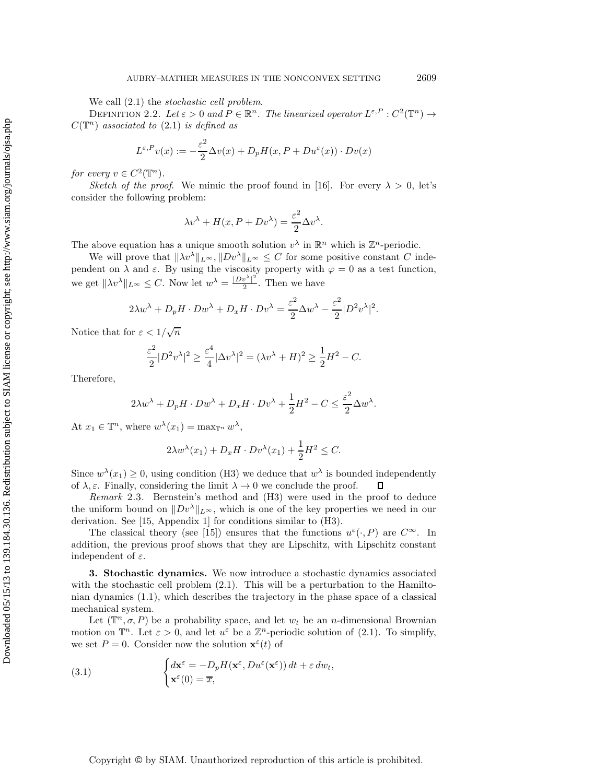We call (2.1) the *stochastic cell problem*.

DEFINITION 2.2. Let  $\varepsilon > 0$  and  $P \in \mathbb{R}^n$ . The linearized operator  $L^{\varepsilon, P}: C^2(\mathbb{T}^n) \to$  $C(\mathbb{T}^n)$  *associated to* (2.1) *is defined as* 

$$
L^{\varepsilon,P}v(x) := -\frac{\varepsilon^2}{2}\Delta v(x) + D_p H(x,P + Du^{\varepsilon}(x)) \cdot Dv(x)
$$

*for every*  $v \in C^2(\mathbb{T}^n)$ *.* 

*Sketch of the proof.* We mimic the proof found in [16]. For every  $\lambda > 0$ , let's consider the following problem:

$$
\lambda v^{\lambda} + H(x, P + Dv^{\lambda}) = \frac{\varepsilon^2}{2} \Delta v^{\lambda}.
$$

The above equation has a unique smooth solution  $v^{\lambda}$  in  $\mathbb{R}^n$  which is  $\mathbb{Z}^n$ -periodic.

We will prove that  $\|\lambda v^\lambda\|_{L^\infty}, \|D v^\lambda\|_{L^\infty} \leq C$  for some positive constant C independent on  $\lambda$  and  $\varepsilon$ . By using the viscosity property with  $\varphi = 0$  as a test function, we get  $\|\lambda v^{\lambda}\|_{L^{\infty}} \leq C$ . Now let  $w^{\lambda} = \frac{|Dv^{\lambda}|^2}{2}$ . Then we have

$$
2\lambda w^{\lambda} + D_p H \cdot Dw^{\lambda} + D_x H \cdot Dv^{\lambda} = \frac{\varepsilon^2}{2} \Delta w^{\lambda} - \frac{\varepsilon^2}{2} |D^2 v^{\lambda}|^2.
$$

Notice that for  $\varepsilon < 1/\sqrt{n}$ 

$$
\frac{\varepsilon^2}{2}|D^2v^\lambda|^2 \ge \frac{\varepsilon^4}{4}|\Delta v^\lambda|^2 = (\lambda v^\lambda + H)^2 \ge \frac{1}{2}H^2 - C.
$$

Therefore,

$$
2\lambda w^{\lambda} + D_p H \cdot Dw^{\lambda} + D_x H \cdot Dv^{\lambda} + \frac{1}{2}H^2 - C \le \frac{\varepsilon^2}{2} \Delta w^{\lambda}.
$$

At  $x_1 \in \mathbb{T}^n$ , where  $w^{\lambda}(x_1) = \max_{\mathbb{T}^n} w^{\lambda}$ ,

$$
2\lambda w^{\lambda}(x_1) + D_x H \cdot Dv^{\lambda}(x_1) + \frac{1}{2}H^2 \leq C.
$$

Since  $w^{\lambda}(x_1) \geq 0$ , using condition (H3) we deduce that  $w^{\lambda}$  is bounded independently of  $\lambda, \varepsilon$ . Finally, considering the limit  $\lambda \to 0$  we conclude the proof.  $\Box$ 

*Remark* 2.3. Bernstein's method and (H3) were used in the proof to deduce the uniform bound on  $||Dv^{\lambda}||_{L^{\infty}}$ , which is one of the key properties we need in our derivation. See [15, Appendix 1] for conditions similar to (H3).

The classical theory (see [15]) ensures that the functions  $u^{\varepsilon}(\cdot, P)$  are  $C^{\infty}$ . In addition, the previous proof shows that they are Lipschitz, with Lipschitz constant independent of  $\varepsilon$ .

**3. Stochastic dynamics.** We now introduce a stochastic dynamics associated with the stochastic cell problem  $(2.1)$ . This will be a perturbation to the Hamiltonian dynamics (1.1), which describes the trajectory in the phase space of a classical mechanical system.

Let  $(\mathbb{T}^n, \sigma, P)$  be a probability space, and let  $w_t$  be an *n*-dimensional Brownian motion on  $\mathbb{T}^n$ . Let  $\varepsilon > 0$ , and let  $u^{\varepsilon}$  be a  $\mathbb{Z}^n$ -periodic solution of (2.1). To simplify, we set  $P = 0$ . Consider now the solution  $\mathbf{x}^{\varepsilon}(t)$  of

(3.1) 
$$
\begin{cases} d\mathbf{x}^{\varepsilon} = -D_p H(\mathbf{x}^{\varepsilon}, Du^{\varepsilon}(\mathbf{x}^{\varepsilon})) dt + \varepsilon dw_t, \\ \mathbf{x}^{\varepsilon}(0) = \overline{x}, \end{cases}
$$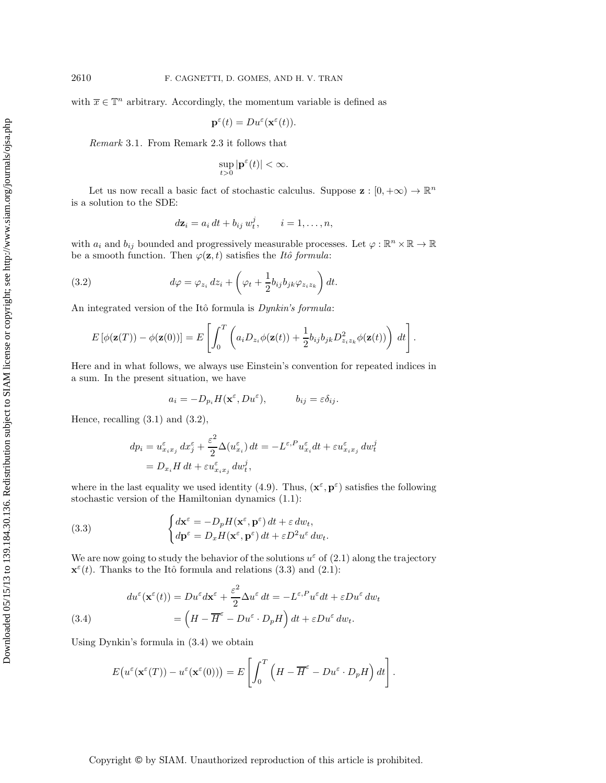with  $\bar{x} \in \mathbb{T}^n$  arbitrary. Accordingly, the momentum variable is defined as

$$
\mathbf{p}^{\varepsilon}(t) = Du^{\varepsilon}(\mathbf{x}^{\varepsilon}(t)).
$$

*Remark* 3.1. From Remark 2.3 it follows that

$$
\sup_{t>0} |\mathbf{p}^{\varepsilon}(t)| < \infty.
$$

Let us now recall a basic fact of stochastic calculus. Suppose  $\mathbf{z}: [0, +\infty) \to \mathbb{R}^n$ is a solution to the SDE:

$$
d\mathbf{z}_i = a_i dt + b_{ij} w_t^j, \qquad i = 1, \dots, n,
$$

with  $a_i$  and  $b_{ij}$  bounded and progressively measurable processes. Let  $\varphi : \mathbb{R}^n \times \mathbb{R} \to \mathbb{R}$ be a smooth function. Then  $\varphi(\mathbf{z}, t)$  satisfies the *Itô formula*:

(3.2) 
$$
d\varphi = \varphi_{z_i} dz_i + \left(\varphi_t + \frac{1}{2} b_{ij} b_{jk} \varphi_{z_i z_k}\right) dt.
$$

An integrated version of the Itô formula is *Dynkin's formula*:

$$
E\left[\phi(\mathbf{z}(T)) - \phi(\mathbf{z}(0))\right] = E\left[\int_0^T \left(a_i D_{z_i} \phi(\mathbf{z}(t)) + \frac{1}{2} b_{ij} b_{jk} D_{z_i z_k}^2 \phi(\mathbf{z}(t))\right) dt\right].
$$

Here and in what follows, we always use Einstein's convention for repeated indices in a sum. In the present situation, we have

$$
a_i = -D_{p_i} H(\mathbf{x}^{\varepsilon}, Du^{\varepsilon}), \qquad b_{ij} = \varepsilon \delta_{ij}.
$$

Hence, recalling  $(3.1)$  and  $(3.2)$ ,

$$
dp_i = u_{x_ix_j}^{\varepsilon} dx_j^{\varepsilon} + \frac{\varepsilon^2}{2} \Delta(u_{x_i}^{\varepsilon}) dt = -L^{\varepsilon, P} u_{x_i}^{\varepsilon} dt + \varepsilon u_{x_ix_j}^{\varepsilon} dw_t^j
$$
  
=  $D_{x_i} H dt + \varepsilon u_{x_ix_j}^{\varepsilon} dw_t^j$ ,

where in the last equality we used identity (4.9). Thus,  $(\mathbf{x}^{\varepsilon}, \mathbf{p}^{\varepsilon})$  satisfies the following stochastic version of the Hamiltonian dynamics (1.1):

(3.3) 
$$
\begin{cases} d\mathbf{x}^{\varepsilon} = -D_p H(\mathbf{x}^{\varepsilon}, \mathbf{p}^{\varepsilon}) dt + \varepsilon dw_t, \\ d\mathbf{p}^{\varepsilon} = D_x H(\mathbf{x}^{\varepsilon}, \mathbf{p}^{\varepsilon}) dt + \varepsilon D^2 u^{\varepsilon} dw_t. \end{cases}
$$

We are now going to study the behavior of the solutions  $u^{\varepsilon}$  of (2.1) along the trajectory  $\mathbf{x}^{\varepsilon}(t)$ . Thanks to the Itô formula and relations (3.3) and (2.1):

(3.4)  
\n
$$
du^{\varepsilon}(\mathbf{x}^{\varepsilon}(t)) = Du^{\varepsilon}d\mathbf{x}^{\varepsilon} + \frac{\varepsilon^{2}}{2}\Delta u^{\varepsilon} dt = -L^{\varepsilon,P}u^{\varepsilon}dt + \varepsilon Du^{\varepsilon} dw_{t}
$$
\n
$$
= \left(H - \overline{H}^{\varepsilon} - Du^{\varepsilon} \cdot D_{p}H\right)dt + \varepsilon Du^{\varepsilon} dw_{t}.
$$

Using Dynkin's formula in (3.4) we obtain

$$
E(u^{\varepsilon}(\mathbf{x}^{\varepsilon}(T)) - u^{\varepsilon}(\mathbf{x}^{\varepsilon}(0))) = E\left[\int_0^T \left(H - \overline{H}^{\varepsilon} - Du^{\varepsilon} \cdot D_p H\right) dt\right].
$$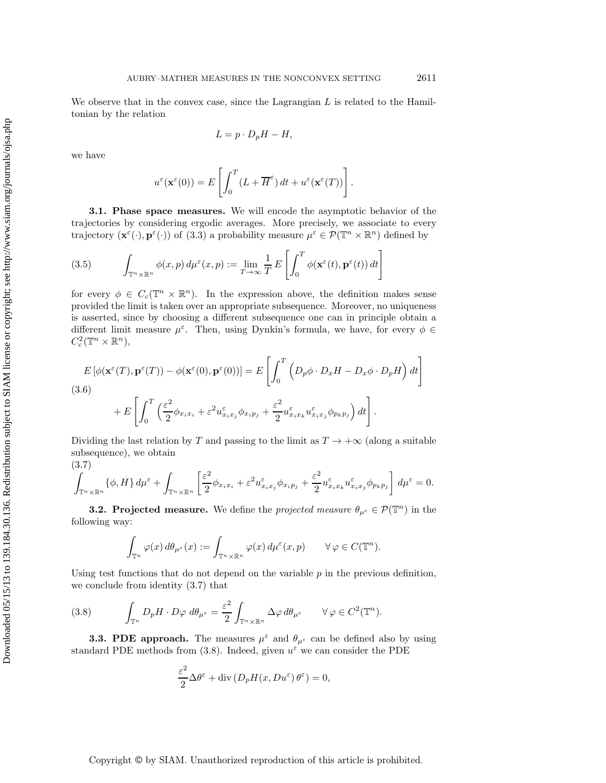We observe that in the convex case, since the Lagrangian  $L$  is related to the Hamiltonian by the relation

$$
L = p \cdot D_p H - H,
$$

we have

$$
u^{\varepsilon}(\mathbf{x}^{\varepsilon}(0)) = E\left[\int_0^T (L + \overline{H}^{\varepsilon}) dt + u^{\varepsilon}(\mathbf{x}^{\varepsilon}(T))\right].
$$

**3.1. Phase space measures.** We will encode the asymptotic behavior of the trajectories by considering ergodic averages. More precisely, we associate to every trajectory  $(\mathbf{x}^{\varepsilon}(\cdot), \mathbf{p}^{\varepsilon}(\cdot))$  of (3.3) a probability measure  $\mu^{\varepsilon} \in \mathcal{P}(\mathbb{T}^n \times \mathbb{R}^n)$  defined by

(3.5) 
$$
\int_{\mathbb{T}^n \times \mathbb{R}^n} \phi(x, p) d\mu^{\varepsilon}(x, p) := \lim_{T \to \infty} \frac{1}{T} E\left[\int_0^T \phi(\mathbf{x}^{\varepsilon}(t), \mathbf{p}^{\varepsilon}(t)) dt\right]
$$

for every  $\phi \in C_c(\mathbb{T}^n \times \mathbb{R}^n)$ . In the expression above, the definition makes sense provided the limit is taken over an appropriate subsequence. Moreover, no uniqueness is asserted, since by choosing a different subsequence one can in principle obtain a different limit measure  $\mu^{\varepsilon}$ . Then, using Dynkin's formula, we have, for every  $\phi \in$  $C_c^2(\mathbb{T}^n\times\mathbb{R}^n),$ 

$$
E\left[\phi(\mathbf{x}^{\varepsilon}(T), \mathbf{p}^{\varepsilon}(T)) - \phi(\mathbf{x}^{\varepsilon}(0), \mathbf{p}^{\varepsilon}(0))\right] = E\left[\int_0^T \left(D_p \phi \cdot D_x H - D_x \phi \cdot D_p H\right) dt\right]
$$
  
(3.6)  

$$
+ E\left[\int_0^T \left(\frac{\varepsilon^2}{2} \phi_{x_i x_i} + \varepsilon^2 u_{x_i x_j}^{\varepsilon} \phi_{x_i p_j} + \frac{\varepsilon^2}{2} u_{x_i x_k}^{\varepsilon} u_{x_i x_j}^{\varepsilon} \phi_{p_k p_j}\right) dt\right].
$$

Dividing the last relation by T and passing to the limit as  $T \to +\infty$  (along a suitable subsequence), we obtain

(3.7)

$$
\int_{\mathbb{T}^n\times\mathbb{R}^n} \{\phi, H\} d\mu^{\varepsilon} + \int_{\mathbb{T}^n\times\mathbb{R}^n} \left[ \frac{\varepsilon^2}{2} \phi_{x_ix_i} + \varepsilon^2 u_{x_ix_j}^{\varepsilon} \phi_{x_ip_j} + \frac{\varepsilon^2}{2} u_{x_ix_k}^{\varepsilon} u_{x_ix_j}^{\varepsilon} \phi_{p_kp_j} \right] d\mu^{\varepsilon} = 0.
$$

**3.2. Projected measure.** We define the *projected measure*  $\theta_{\mu^{\varepsilon}} \in \mathcal{P}(\mathbb{T}^n)$  in the following way:

$$
\int_{\mathbb{T}^n} \varphi(x) d\theta_{\mu^{\varepsilon}}(x) := \int_{\mathbb{T}^n \times \mathbb{R}^n} \varphi(x) d\mu^{\varepsilon}(x, p) \qquad \forall \varphi \in C(\mathbb{T}^n).
$$

Using test functions that do not depend on the variable  $p$  in the previous definition, we conclude from identity (3.7) that

(3.8) 
$$
\int_{\mathbb{T}^n} D_p H \cdot D\varphi \, d\theta_{\mu^{\varepsilon}} = \frac{\varepsilon^2}{2} \int_{\mathbb{T}^n \times \mathbb{R}^n} \Delta \varphi \, d\theta_{\mu^{\varepsilon}} \qquad \forall \varphi \in C^2(\mathbb{T}^n).
$$

**3.3. PDE approach.** The measures  $\mu^{\varepsilon}$  and  $\theta_{\mu^{\varepsilon}}$  can be defined also by using standard PDE methods from (3.8). Indeed, given  $u^{\varepsilon}$  we can consider the PDE

$$
\frac{\varepsilon^2}{2} \Delta \theta^{\varepsilon} + \text{div} \left( D_p H(x, Du^{\varepsilon}) \theta^{\varepsilon} \right) = 0,
$$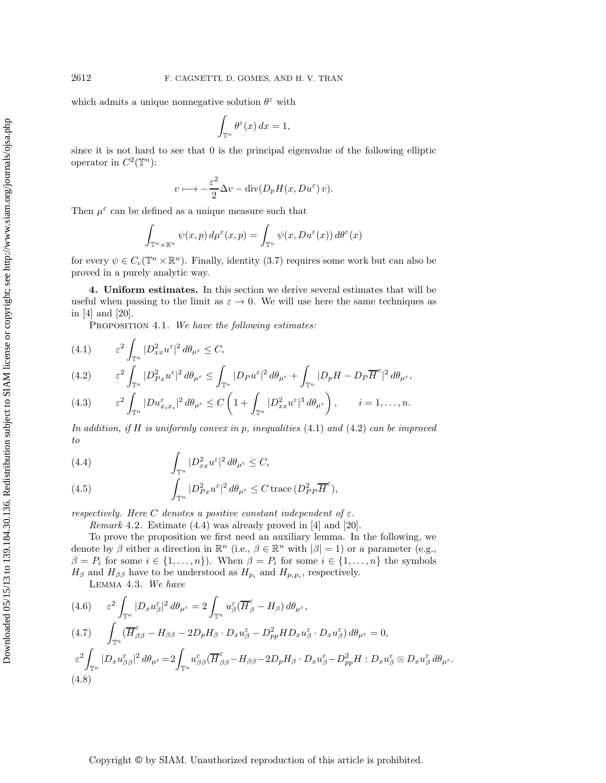Downloaded 05/15/13 to 139.184.30.136. Redistribution subject to SIAM license or copyright; see http://www.siam.org/journals/ojsa.php Downloaded 05/15/13 to 139.184.30.136. Redistribution subject to SIAM license or copyright; see http://www.siam.org/journals/ojsa.php which admits a unique nonnegative solution  $\theta^{\varepsilon}$  with

$$
\int_{\mathbb{T}^n} \theta^{\varepsilon}(x) \, dx = 1,
$$

since it is not hard to see that 0 is the principal eigenvalue of the following elliptic operator in  $C^2(\mathbb{T}^n)$ :

$$
v \longmapsto -\frac{\varepsilon^2}{2} \Delta v - \text{div}(D_p H(x, Du^{\varepsilon}) v).
$$

Then  $\mu^{\varepsilon}$  can be defined as a unique measure such that

$$
\int_{\mathbb{T}^n \times \mathbb{R}^n} \psi(x, p) d\mu^{\varepsilon}(x, p) = \int_{\mathbb{T}^n} \psi(x, Du^{\varepsilon}(x)) d\theta^{\varepsilon}(x)
$$

for every  $\psi \in C_c(\mathbb{T}^n \times \mathbb{R}^n)$ . Finally, identity (3.7) requires some work but can also be proved in a purely analytic way.

**4. Uniform estimates.** In this section we derive several estimates that will be useful when passing to the limit as  $\varepsilon \to 0$ . We will use here the same techniques as in [4] and [20].

Proposition 4.1. *We have the following estimates:*

(4.1) 
$$
\varepsilon^2 \int_{\mathbb{T}^n} |D^2_{xx} u^{\varepsilon}|^2 d\theta_{\mu^{\varepsilon}} \leq C,
$$
  
(4.2) 
$$
\varepsilon^2 \int |D^2_{Px} u^{\varepsilon}|^2 d\theta_{\mu^{\varepsilon}} \leq \int |D_P u^{\varepsilon}|^2 d\theta_{\mu^{\varepsilon}} + \int |D_p H - D_P \overline{H}^{\varepsilon}
$$

$$
(4.2) \qquad \varepsilon^2 \int_{\mathbb{T}^n} |D_{Px}^2 u^{\varepsilon}|^2 d\theta_{\mu^{\varepsilon}} \le \int_{\mathbb{T}^n} |D_P u^{\varepsilon}|^2 d\theta_{\mu^{\varepsilon}} + \int_{\mathbb{T}^n} |D_p H - D_P \overline{H}^{\varepsilon}|^2 d\theta_{\mu^{\varepsilon}},
$$

(4.3) 
$$
\varepsilon^2 \int_{\mathbb{T}^n} |Du_{x_ix_i}^{\varepsilon}|^2 d\theta_{\mu^{\varepsilon}} \leq C \left(1 + \int_{\mathbb{T}^n} |D^2_{xx} u^{\varepsilon}|^3 d\theta_{\mu^{\varepsilon}}\right), \qquad i = 1, \dots, n.
$$

*In addition, if* H *is uniformly convex in* p*, inequalities* (4.1) *and* (4.2) *can be improved to*

(4.4) 
$$
\int_{\mathbb{T}^n} |D^2_{xx} u^{\varepsilon}|^2 d\theta_{\mu^{\varepsilon}} \leq C,
$$

(4.5) 
$$
\int_{\mathbb{T}^n} |D_{Px}^2 u^{\varepsilon}|^2 d\theta_{\mu^{\varepsilon}} \leq C \operatorname{trace} (D_{PP}^2 \overline{H}^{\varepsilon}),
$$

*respectively. Here* C *denotes a positive constant independent of* ε*.*

*Remark* 4.2. Estimate (4.4) was already proved in [4] and [20].

To prove the proposition we first need an auxiliary lemma. In the following, we denote by  $\beta$  either a direction in  $\mathbb{R}^n$  (i.e.,  $\beta \in \mathbb{R}^n$  with  $|\beta|=1$ ) or a parameter (e.g.,  $\beta = P_i$  for some  $i \in \{1, ..., n\}$ . When  $\beta = P_i$  for some  $i \in \{1, ..., n\}$  the symbols  $H_{\beta}$  and  $H_{\beta\beta}$  have to be understood as  $H_{p_i}$  and  $H_{p_i p_i}$ , respectively.

Lemma 4.3. *We have*

$$
(4.6) \quad \varepsilon^2 \int_{\mathbb{T}^n} |D_x u_{\beta}^{\varepsilon}|^2 d\theta_{\mu^{\varepsilon}} = 2 \int_{\mathbb{T}^n} u_{\beta}^{\varepsilon} (\overline{H}_{\beta}^{\varepsilon} - H_{\beta}) d\theta_{\mu^{\varepsilon}},
$$
  
\n
$$
(4.7) \quad \int_{\mathbb{T}^n} (\overline{H}_{\beta\beta}^{\varepsilon} - H_{\beta\beta} - 2D_p H_{\beta} \cdot D_x u_{\beta}^{\varepsilon} - D_{pp}^2 H D_x u_{\beta}^{\varepsilon} \cdot D_x u_{\beta}^{\varepsilon}) d\theta_{\mu^{\varepsilon}} = 0,
$$
  
\n
$$
\varepsilon^2 \int_{\mathbb{T}^n} |D_x u_{\beta\beta}^{\varepsilon}|^2 d\theta_{\mu^{\varepsilon}} = 2 \int_{\mathbb{T}^n} u_{\beta\beta}^{\varepsilon} (\overline{H}_{\beta\beta}^{\varepsilon} - H_{\beta\beta} - 2D_p H_{\beta} \cdot D_x u_{\beta}^{\varepsilon} - D_{pp}^2 H : D_x u_{\beta}^{\varepsilon} \otimes D_x u_{\beta}^{\varepsilon} d\theta_{\mu^{\varepsilon}}.
$$
  
\n
$$
(4.8)
$$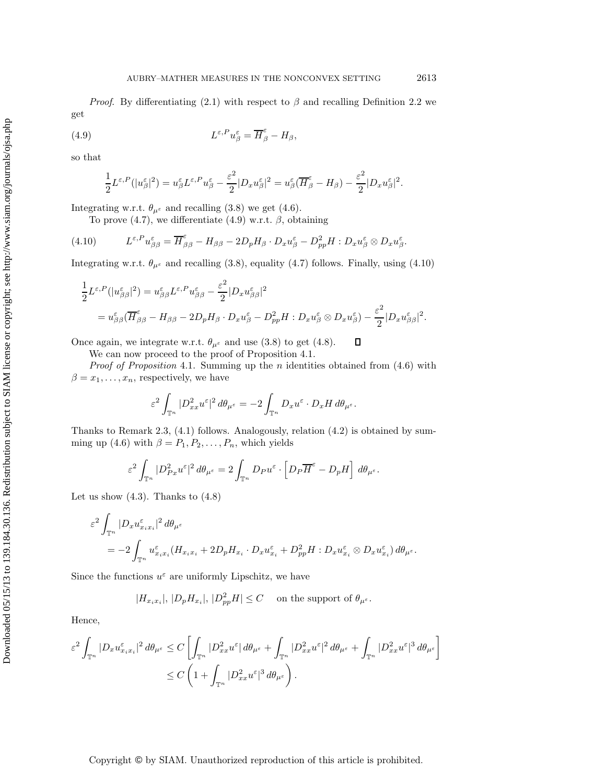*Proof.* By differentiating (2.1) with respect to  $\beta$  and recalling Definition 2.2 we get

(4.9) 
$$
L^{\varepsilon,P}u_{\beta}^{\varepsilon} = \overline{H}_{\beta}^{\varepsilon} - H_{\beta},
$$

so that

$$
\frac{1}{2}L^{\varepsilon,P}(|u_{\beta}^{\varepsilon}|^2) = u_{\beta}^{\varepsilon}L^{\varepsilon,P}u_{\beta}^{\varepsilon} - \frac{\varepsilon^2}{2}|D_x u_{\beta}^{\varepsilon}|^2 = u_{\beta}^{\varepsilon}(\overline{H}_{\beta}^{\varepsilon} - H_{\beta}) - \frac{\varepsilon^2}{2}|D_x u_{\beta}^{\varepsilon}|^2.
$$

Integrating w.r.t.  $\theta_{\mu^{\varepsilon}}$  and recalling (3.8) we get (4.6).

To prove (4.7), we differentiate (4.9) w.r.t.  $\beta$ , obtaining

(4.10) 
$$
L^{\varepsilon,P}u_{\beta\beta}^{\varepsilon} = \overline{H}_{\beta\beta}^{\varepsilon} - H_{\beta\beta} - 2D_p H_{\beta} \cdot D_x u_{\beta}^{\varepsilon} - D_{pp}^2 H : D_x u_{\beta}^{\varepsilon} \otimes D_x u_{\beta}^{\varepsilon}.
$$

Integrating w.r.t.  $\theta_{\mu^{\varepsilon}}$  and recalling (3.8), equality (4.7) follows. Finally, using (4.10)

$$
\frac{1}{2}L^{\varepsilon,P}(|u_{\beta\beta}^{\varepsilon}|^2) = u_{\beta\beta}^{\varepsilon}L^{\varepsilon,P}u_{\beta\beta}^{\varepsilon} - \frac{\varepsilon^2}{2}|D_x u_{\beta\beta}^{\varepsilon}|^2
$$
\n
$$
= u_{\beta\beta}^{\varepsilon}(\overline{H}_{\beta\beta}^{\varepsilon} - H_{\beta\beta} - 2D_p H_{\beta} \cdot D_x u_{\beta}^{\varepsilon} - D_{pp}^2 H : D_x u_{\beta}^{\varepsilon} \otimes D_x u_{\beta}^{\varepsilon}) - \frac{\varepsilon^2}{2}|D_x u_{\beta\beta}^{\varepsilon}|^2.
$$

 $\Box$ Once again, we integrate w.r.t.  $\theta_{\mu^{\varepsilon}}$  and use (3.8) to get (4.8).

We can now proceed to the proof of Proposition 4.1.

*Proof of Proposition* 4.1. Summing up the n identities obtained from (4.6) with  $\beta = x_1, \ldots, x_n$ , respectively, we have

$$
\varepsilon^2 \int_{\mathbb{T}^n} |D^2_{xx} u^{\varepsilon}|^2 d\theta_{\mu^{\varepsilon}} = -2 \int_{\mathbb{T}^n} D_x u^{\varepsilon} \cdot D_x H d\theta_{\mu^{\varepsilon}}.
$$

Thanks to Remark 2.3, (4.1) follows. Analogously, relation (4.2) is obtained by summing up (4.6) with  $\beta = P_1, P_2, \ldots, P_n$ , which yields

$$
\varepsilon^2 \int_{\mathbb{T}^n} |D_{Px}^2 u^{\varepsilon}|^2 d\theta_{\mu^{\varepsilon}} = 2 \int_{\mathbb{T}^n} D_P u^{\varepsilon} \cdot \left[ D_P \overline{H}^{\varepsilon} - D_p H \right] d\theta_{\mu^{\varepsilon}}.
$$

Let us show  $(4.3)$ . Thanks to  $(4.8)$ 

$$
\varepsilon^2 \int_{\mathbb{T}^n} |D_x u_{x_ix_i}^{\varepsilon}|^2 d\theta_{\mu^{\varepsilon}}
$$
  
= 
$$
-2 \int_{\mathbb{T}^n} u_{x_ix_i}^{\varepsilon} (H_{x_ix_i} + 2D_p H_{x_i} \cdot D_x u_{x_i}^{\varepsilon} + D_{pp}^2 H : D_x u_{x_i}^{\varepsilon} \otimes D_x u_{x_i}^{\varepsilon}) d\theta_{\mu^{\varepsilon}}.
$$

Since the functions  $u^{\varepsilon}$  are uniformly Lipschitz, we have

$$
|H_{x_ix_i}|, |D_pH_{x_i}|, |D_{pp}^2H| \le C \quad \text{on the support of } \theta_{\mu^{\varepsilon}}.
$$

Hence,

$$
\varepsilon^2 \int_{\mathbb{T}^n} |D_x u_{x_i x_i}^{\varepsilon}|^2 d\theta_{\mu^{\varepsilon}} \leq C \left[ \int_{\mathbb{T}^n} |D_{xx}^2 u^{\varepsilon}| d\theta_{\mu^{\varepsilon}} + \int_{\mathbb{T}^n} |D_{xx}^2 u^{\varepsilon}|^2 d\theta_{\mu^{\varepsilon}} + \int_{\mathbb{T}^n} |D_{xx}^2 u^{\varepsilon}|^3 d\theta_{\mu^{\varepsilon}} \right]
$$
  

$$
\leq C \left( 1 + \int_{\mathbb{T}^n} |D_{xx}^2 u^{\varepsilon}|^3 d\theta_{\mu^{\varepsilon}} \right).
$$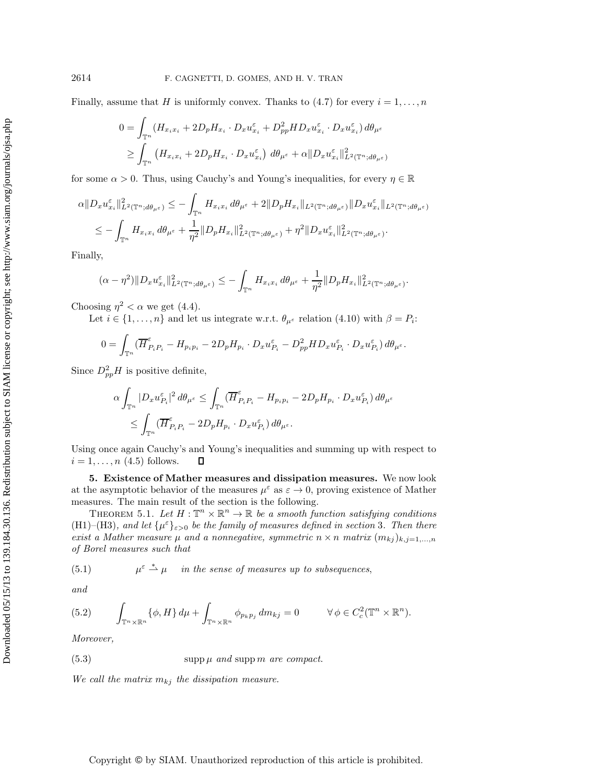Finally, assume that H is uniformly convex. Thanks to (4.7) for every  $i = 1, \ldots, n$ 

$$
0 = \int_{\mathbb{T}^n} (H_{x_i x_i} + 2D_p H_{x_i} \cdot D_x u_{x_i}^{\varepsilon} + D_{pp}^2 H D_x u_{x_i}^{\varepsilon} \cdot D_x u_{x_i}^{\varepsilon}) d\theta_{\mu^{\varepsilon}}
$$
  
\n
$$
\geq \int_{\mathbb{T}^n} (H_{x_i x_i} + 2D_p H_{x_i} \cdot D_x u_{x_i}^{\varepsilon}) d\theta_{\mu^{\varepsilon}} + \alpha \|D_x u_{x_i}^{\varepsilon}\|_{L^2(\mathbb{T}^n; d\theta_{\mu^{\varepsilon}})}^2
$$

for some  $\alpha > 0$ . Thus, using Cauchy's and Young's inequalities, for every  $\eta \in \mathbb{R}$ 

$$
\alpha \|D_x u_{x_i}^{\varepsilon}\|_{L^2(\mathbb{T}^n; d\theta_{\mu^{\varepsilon}})}^2 \leq -\int_{\mathbb{T}^n} H_{x_i x_i} d\theta_{\mu^{\varepsilon}} + 2 \|D_p H_{x_i}\|_{L^2(\mathbb{T}^n; d\theta_{\mu^{\varepsilon}})} \|D_x u_{x_i}^{\varepsilon}\|_{L^2(\mathbb{T}^n; d\theta_{\mu^{\varepsilon}})} \n\leq -\int_{\mathbb{T}^n} H_{x_i x_i} d\theta_{\mu^{\varepsilon}} + \frac{1}{\eta^2} \|D_p H_{x_i}\|_{L^2(\mathbb{T}^n; d\theta_{\mu^{\varepsilon}})}^2 + \eta^2 \|D_x u_{x_i}^{\varepsilon}\|_{L^2(\mathbb{T}^n; d\theta_{\mu^{\varepsilon}})}^2.
$$

Finally,

$$
(\alpha - \eta^2) \|D_x u_{x_i}^\varepsilon\|_{L^2(\mathbb{T}^n; d\theta_{\mu^\varepsilon})}^2 \leq - \int_{\mathbb{T}^n} H_{x_i x_i} d\theta_{\mu^\varepsilon} + \frac{1}{\eta^2} \|D_p H_{x_i}\|_{L^2(\mathbb{T}^n; d\theta_{\mu^\varepsilon})}^2.
$$

Choosing  $\eta^2 < \alpha$  we get (4.4).

Let  $i \in \{1, \ldots, n\}$  and let us integrate w.r.t.  $\theta_{\mu^{\varepsilon}}$  relation (4.10) with  $\beta = P_i$ :

$$
0 = \int_{\mathbb{T}^n} (\overline{H}_{P_i P_i}^{\varepsilon} - H_{p_i p_i} - 2D_p H_{p_i} \cdot D_x u_{P_i}^{\varepsilon} - D_{pp}^2 H D_x u_{P_i}^{\varepsilon} \cdot D_x u_{P_i}^{\varepsilon}) d\theta_{\mu^{\varepsilon}}.
$$

Since  $D_{pp}^2H$  is positive definite,

$$
\begin{aligned} & \alpha \int_{\mathbb{T}^n} |D_x u_{P_i}^{\varepsilon}|^2 \, d\theta_{\mu^{\varepsilon}} \leq \int_{\mathbb{T}^n} (\overline{H}_{P_i P_i}^{\varepsilon} - H_{p_i p_i} - 2D_p H_{p_i} \cdot D_x u_{P_i}^{\varepsilon}) \, d\theta_{\mu^{\varepsilon}} \\ & \leq \int_{\mathbb{T}^n} (\overline{H}_{P_i P_i}^{\varepsilon} - 2D_p H_{p_i} \cdot D_x u_{P_i}^{\varepsilon}) \, d\theta_{\mu^{\varepsilon}}. \end{aligned}
$$

Using once again Cauchy's and Young's inequalities and summing up with respect to  $i = 1, \ldots, n$  (4.5) follows.  $\Box$ 

**5. Existence of Mather measures and dissipation measures.** We now look at the asymptotic behavior of the measures  $\mu^{\varepsilon}$  as  $\varepsilon \to 0$ , proving existence of Mather measures. The main result of the section is the following.

THEOREM 5.1. Let  $H: \mathbb{T}^n \times \mathbb{R}^n \to \mathbb{R}$  be a smooth function satisfying conditions (H1)–(H3)*, and let*  $\{\mu^{\varepsilon}\}_{{\varepsilon}>0}$  *be the family of measures defined in section* 3*. Then there exist a Mather measure*  $\mu$  *and a nonnegative, symmetric*  $n \times n$  *matrix*  $(m_{kj})_{k,j=1,...,n}$ *of Borel measures such that*

(5.1) 
$$
\mu^{\varepsilon} \stackrel{*}{\rightharpoonup} \mu \quad in the sense of measures up to subsequences,
$$

*and*

(5.2) 
$$
\int_{\mathbb{T}^n \times \mathbb{R}^n} {\{\phi, H\} d\mu} + \int_{\mathbb{T}^n \times \mathbb{R}^n} {\phi_{p_k p_j} dm_{kj}} = 0 \qquad \forall \phi \in C_c^2(\mathbb{T}^n \times \mathbb{R}^n).
$$

*Moreover,*

$$
(5.3) \t\t supp \mu \text{ and } supp \ m \text{ are compact.}
$$

We call the matrix  $m_{kj}$  the dissipation measure.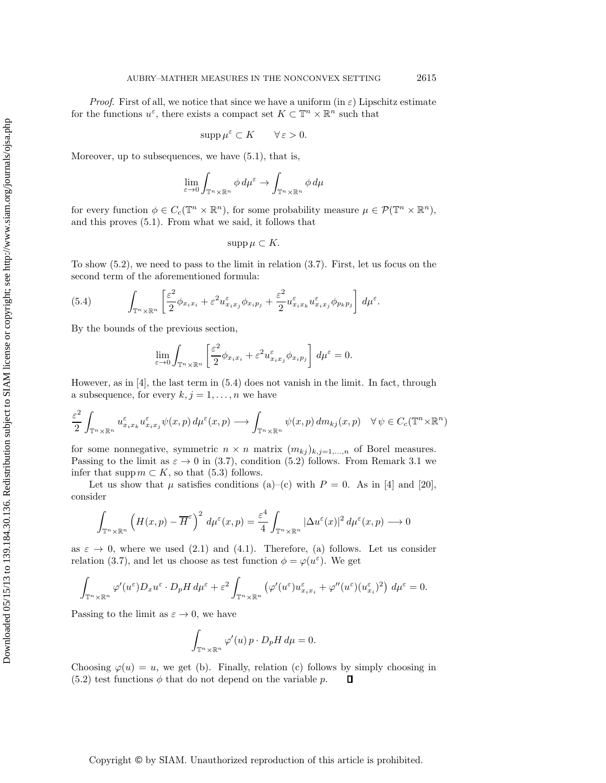*Proof.* First of all, we notice that since we have a uniform (in  $\varepsilon$ ) Lipschitz estimate for the functions  $u^{\varepsilon}$ , there exists a compact set  $K \subset \mathbb{T}^n \times \mathbb{R}^n$  such that

$$
\operatorname{supp}\mu^{\varepsilon}\subset K\qquad\forall\,\varepsilon>0.
$$

Moreover, up to subsequences, we have (5.1), that is,

$$
\lim_{\varepsilon \to 0} \int_{\mathbb{T}^n \times \mathbb{R}^n} \phi \, d\mu^{\varepsilon} \to \int_{\mathbb{T}^n \times \mathbb{R}^n} \phi \, d\mu
$$

for every function  $\phi \in C_c(\mathbb{T}^n \times \mathbb{R}^n)$ , for some probability measure  $\mu \in \mathcal{P}(\mathbb{T}^n \times \mathbb{R}^n)$ , and this proves (5.1). From what we said, it follows that

$$
\operatorname{supp}\mu\subset K.
$$

To show  $(5.2)$ , we need to pass to the limit in relation  $(3.7)$ . First, let us focus on the second term of the aforementioned formula:

(5.4) 
$$
\int_{\mathbb{T}^n \times \mathbb{R}^n} \left[ \frac{\varepsilon^2}{2} \phi_{x_i x_i} + \varepsilon^2 u_{x_i x_j} \phi_{x_i p_j} + \frac{\varepsilon^2}{2} u_{x_i x_k} \psi_{x_i x_j} \phi_{p_k p_j} \right] d\mu^{\varepsilon}.
$$

By the bounds of the previous section,

$$
\lim_{\varepsilon \to 0} \int_{\mathbb{T}^n \times \mathbb{R}^n} \left[ \frac{\varepsilon^2}{2} \phi_{x_i x_i} + \varepsilon^2 u_{x_i x_j}^{\varepsilon} \phi_{x_i p_j} \right] d\mu^{\varepsilon} = 0.
$$

However, as in  $\vert 4\vert$ , the last term in (5.4) does not vanish in the limit. In fact, through a subsequence, for every  $k, j = 1, \ldots, n$  we have

$$
\frac{\varepsilon^2}{2} \int_{\mathbb{T}^n \times \mathbb{R}^n} u_{x_ix_k}^{\varepsilon} u_{x_ix_j}^{\varepsilon} \psi(x, p) d\mu^{\varepsilon}(x, p) \longrightarrow \int_{\mathbb{T}^n \times \mathbb{R}^n} \psi(x, p) dm_{kj}(x, p) \quad \forall \psi \in C_c(\mathbb{T}^n \times \mathbb{R}^n)
$$

for some nonnegative, symmetric  $n \times n$  matrix  $(m_{kj})_{k,j=1,\dots,n}$  of Borel measures. Passing to the limit as  $\varepsilon \to 0$  in (3.7), condition (5.2) follows. From Remark 3.1 we infer that supp  $m \subset K$ , so that (5.3) follows.

Let us show that  $\mu$  satisfies conditions (a)–(c) with  $P = 0$ . As in [4] and [20], consider

$$
\int_{\mathbb{T}^n \times \mathbb{R}^n} \left( H(x, p) - \overline{H}^{\varepsilon} \right)^2 d\mu^{\varepsilon}(x, p) = \frac{\varepsilon^4}{4} \int_{\mathbb{T}^n \times \mathbb{R}^n} |\Delta u^{\varepsilon}(x)|^2 d\mu^{\varepsilon}(x, p) \longrightarrow 0
$$

as  $\varepsilon \to 0$ , where we used (2.1) and (4.1). Therefore, (a) follows. Let us consider relation (3.7), and let us choose as test function  $\phi = \varphi(u^{\varepsilon})$ . We get

$$
\int_{\mathbb{T}^n \times \mathbb{R}^n} \varphi'(u^{\varepsilon}) D_x u^{\varepsilon} \cdot D_p H \, d\mu^{\varepsilon} + \varepsilon^2 \int_{\mathbb{T}^n \times \mathbb{R}^n} \left( \varphi'(u^{\varepsilon}) u^{\varepsilon}_{x_i x_i} + \varphi''(u^{\varepsilon}) (u^{\varepsilon}_{x_i})^2 \right) \, d\mu^{\varepsilon} = 0.
$$

Passing to the limit as  $\varepsilon \to 0$ , we have

$$
\int_{\mathbb{T}^n \times \mathbb{R}^n} \varphi'(u) \, p \cdot D_p H \, d\mu = 0.
$$

Choosing  $\varphi(u) = u$ , we get (b). Finally, relation (c) follows by simply choosing in  $(5.2)$  test functions  $\phi$  that do not depend on the variable p.  $\Box$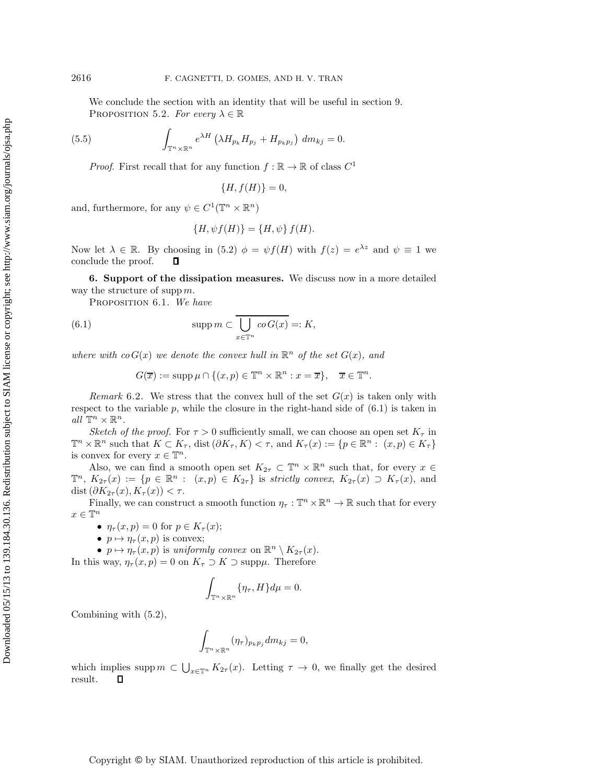We conclude the section with an identity that will be useful in section 9. PROPOSITION 5.2. *For every*  $\lambda \in \mathbb{R}$ 

(5.5) 
$$
\int_{\mathbb{T}^n \times \mathbb{R}^n} e^{\lambda H} \left( \lambda H_{p_k} H_{p_j} + H_{p_k p_j} \right) dm_{kj} = 0.
$$

*Proof.* First recall that for any function  $f : \mathbb{R} \to \mathbb{R}$  of class  $C^1$ 

 ${H, f(H)} = 0,$ 

and, furthermore, for any  $\psi \in C^1(\mathbb{T}^n \times \mathbb{R}^n)$ 

$$
\{H, \psi f(H)\} = \{H, \psi\} f(H).
$$

Now let  $\lambda \in \mathbb{R}$ . By choosing in (5.2)  $\phi = \psi f(H)$  with  $f(z) = e^{\lambda z}$  and  $\psi \equiv 1$  we conclude the proof.  $\Box$ 

**6. Support of the dissipation measures.** We discuss now in a more detailed way the structure of supp  $m$ .

Proposition 6.1. *We have*

(6.1) 
$$
\operatorname{supp} m \subset \overline{\bigcup_{x \in \mathbb{T}^n} co G(x)} =: K,
$$

*where with co*  $G(x)$  *we denote the convex hull in*  $\mathbb{R}^n$  *of the set*  $G(x)$ *, and* 

 $G(\overline{x}) := \operatorname{supp} \mu \cap \{(x, p) \in \mathbb{T}^n \times \mathbb{R}^n : x = \overline{x}\}, \quad \overline{x} \in \mathbb{T}^n.$ 

*Remark* 6.2. We stress that the convex hull of the set  $G(x)$  is taken only with respect to the variable  $p$ , while the closure in the right-hand side of  $(6.1)$  is taken in *all*  $\mathbb{T}^n \times \mathbb{R}^n$ .

*Sketch of the proof.* For  $\tau > 0$  sufficiently small, we can choose an open set  $K_{\tau}$  in  $\mathbb{T}^n \times \mathbb{R}^n$  such that  $K \subset K_\tau$ , dist  $(\partial K_\tau, K) < \tau$ , and  $K_\tau(x) := \{p \in \mathbb{R}^n : (x, p) \in K_\tau\}$ is convex for every  $x\in\mathbb{T}^n.$ 

Also, we can find a smooth open set  $K_{2\tau} \subset \mathbb{T}^n \times \mathbb{R}^n$  such that, for every  $x \in$  $\mathbb{T}^n$ ,  $K_{2\tau}(x) := \{p \in \mathbb{R}^n : (x,p) \in K_{2\tau}\}\$ is *strictly convex*,  $K_{2\tau}(x) \supset K_{\tau}(x)$ , and dist  $(\partial K_{2\tau}(x), K_{\tau}(x)) < \tau$ .

Finally, we can construct a smooth function  $\eta_{\tau}: \mathbb{T}^n \times \mathbb{R}^n \to \mathbb{R}$  such that for every  $x \in \mathbb{T}^n$ 

- $\eta_{\tau}(x,p) = 0$  for  $p \in K_{\tau}(x);$
- $p \mapsto \eta_{\tau}(x, p)$  is convex;

•  $p \mapsto \eta_{\tau}(x, p)$  is *uniformly convex* on  $\mathbb{R}^n \setminus K_{2\tau}(x)$ .

In this way,  $\eta_{\tau}(x, p) = 0$  on  $K_{\tau} \supset K \supset \text{supp}\mu$ . Therefore

$$
\int_{\mathbb{T}^n\times\mathbb{R}^n} \{\eta_\tau, H\} d\mu = 0.
$$

Combining with (5.2),

$$
\int_{\mathbb{T}^n\times\mathbb{R}^n} (\eta_\tau)_{p_k p_j} dm_{kj} = 0,
$$

which implies supp  $m \subset \bigcup_{x \in \mathbb{T}^n} K_{2\tau}(x)$ . Letting  $\tau \to 0$ , we finally get the desired result.  $\Box$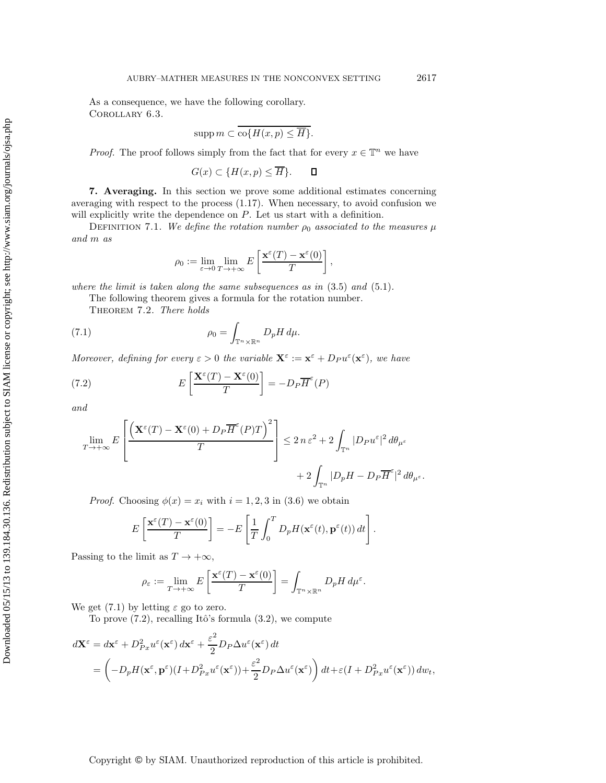As a consequence, we have the following corollary. Corollary 6.3.

$$
supp m \subset \mathrm{co}\{H(x,p) \leq \overline{H}\}.
$$

*Proof.* The proof follows simply from the fact that for every  $x \in \mathbb{T}^n$  we have

$$
G(x) \subset \{H(x, p) \le \overline{H}\}.
$$

**7. Averaging.** In this section we prove some additional estimates concerning averaging with respect to the process (1.17). When necessary, to avoid confusion we will explicitly write the dependence on P. Let us start with a definition.

DEFINITION 7.1. *We define the rotation number*  $\rho_0$  *associated to the measures*  $\mu$ *and* m *as*

$$
\rho_0 := \lim_{\varepsilon \to 0} \lim_{T \to +\infty} E\left[\frac{\mathbf{x}^{\varepsilon}(T) - \mathbf{x}^{\varepsilon}(0)}{T}\right],
$$

*where the limit is taken along the same subsequences as in* (3.5) *and* (5.1)*.*

The following theorem gives a formula for the rotation number.

Theorem 7.2. *There holds*

(7.1) 
$$
\rho_0 = \int_{\mathbb{T}^n \times \mathbb{R}^n} D_p H \, d\mu.
$$

*Moreover, defining for every*  $\varepsilon > 0$  *the variable*  $\mathbf{X}^{\varepsilon} := \mathbf{x}^{\varepsilon} + D_P u^{\varepsilon}(\mathbf{x}^{\varepsilon})$ *, we have* 

(7.2) 
$$
E\left[\frac{\mathbf{X}^{\varepsilon}(T) - \mathbf{X}^{\varepsilon}(0)}{T}\right] = -D_{P}\overline{H}^{\varepsilon}(P)
$$

*and*

$$
\lim_{T \to +\infty} E\left[\frac{\left(\mathbf{X}^{\varepsilon}(T) - \mathbf{X}^{\varepsilon}(0) + D_{P}\overline{H}^{\varepsilon}(P)T\right)^{2}}{T}\right] \leq 2 n \varepsilon^{2} + 2 \int_{\mathbb{T}^{n}} |D_{P}u^{\varepsilon}|^{2} d\theta_{\mu^{\varepsilon}} + 2 \int_{\mathbb{T}^{n}} |D_{P}H - D_{P}\overline{H}^{\varepsilon}|^{2} d\theta_{\mu^{\varepsilon}}.
$$

*Proof.* Choosing  $\phi(x) = x_i$  with  $i = 1, 2, 3$  in (3.6) we obtain

$$
E\left[\frac{\mathbf{x}^{\varepsilon}(T) - \mathbf{x}^{\varepsilon}(0)}{T}\right] = -E\left[\frac{1}{T}\int_0^T D_p H(\mathbf{x}^{\varepsilon}(t), \mathbf{p}^{\varepsilon}(t)) dt\right].
$$

Passing to the limit as  $T \to +\infty$ ,

$$
\rho_{\varepsilon} := \lim_{T \to +\infty} E\left[\frac{\mathbf{x}^{\varepsilon}(T) - \mathbf{x}^{\varepsilon}(0)}{T}\right] = \int_{\mathbb{T}^n \times \mathbb{R}^n} D_p H \, d\mu^{\varepsilon}.
$$

We get  $(7.1)$  by letting  $\varepsilon$  go to zero.

To prove  $(7.2)$ , recalling Itô's formula  $(3.2)$ , we compute

$$
d\mathbf{X}^{\varepsilon} = d\mathbf{x}^{\varepsilon} + D_{Px}^2 u^{\varepsilon}(\mathbf{x}^{\varepsilon}) d\mathbf{x}^{\varepsilon} + \frac{\varepsilon^2}{2} D_P \Delta u^{\varepsilon}(\mathbf{x}^{\varepsilon}) dt
$$
  
= 
$$
\left( -D_p H(\mathbf{x}^{\varepsilon}, \mathbf{p}^{\varepsilon})(I + D_{Px}^2 u^{\varepsilon}(\mathbf{x}^{\varepsilon})) + \frac{\varepsilon^2}{2} D_P \Delta u^{\varepsilon}(\mathbf{x}^{\varepsilon}) \right) dt + \varepsilon (I + D_{Px}^2 u^{\varepsilon}(\mathbf{x}^{\varepsilon})) dw_t,
$$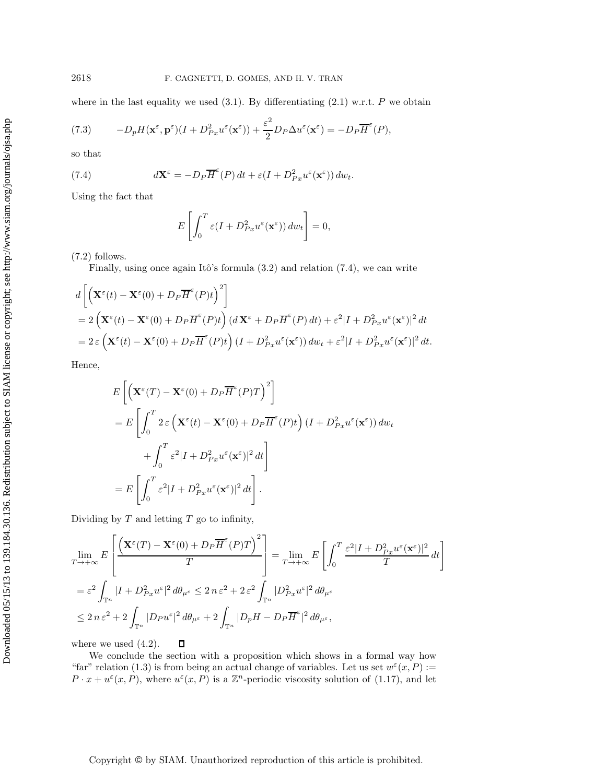where in the last equality we used  $(3.1)$ . By differentiating  $(2.1)$  w.r.t. P we obtain

(7.3) 
$$
-D_p H(\mathbf{x}^{\varepsilon}, \mathbf{p}^{\varepsilon})(I + D_{Px}^2 u^{\varepsilon}(\mathbf{x}^{\varepsilon})) + \frac{\varepsilon^2}{2} D_P \Delta u^{\varepsilon}(\mathbf{x}^{\varepsilon}) = -D_P \overline{H}^{\varepsilon}(P),
$$

so that

(7.4) 
$$
d\mathbf{X}^{\varepsilon} = -D_P \overline{H}^{\varepsilon}(P) dt + \varepsilon (I + D_{Px}^2 u^{\varepsilon}(\mathbf{x}^{\varepsilon})) dw_t.
$$

Using the fact that

$$
E\left[\int_0^T \varepsilon(I + D_{Px}^2 u^{\varepsilon}(\mathbf{x}^{\varepsilon})) \, dw_t\right] = 0,
$$

(7.2) follows.

Finally, using once again Itô's formula  $(3.2)$  and relation  $(7.4)$ , we can write

$$
d\left[\left(\mathbf{X}^{\varepsilon}(t) - \mathbf{X}^{\varepsilon}(0) + D_{P}\overline{H}^{\varepsilon}(P)t\right)^{2}\right]
$$
  
=  $2\left(\mathbf{X}^{\varepsilon}(t) - \mathbf{X}^{\varepsilon}(0) + D_{P}\overline{H}^{\varepsilon}(P)t\right) (d\mathbf{X}^{\varepsilon} + D_{P}\overline{H}^{\varepsilon}(P) dt) + \varepsilon^{2}|I + D_{Px}^{2}u^{\varepsilon}(\mathbf{x}^{\varepsilon})|^{2} dt$   
=  $2\varepsilon \left(\mathbf{X}^{\varepsilon}(t) - \mathbf{X}^{\varepsilon}(0) + D_{P}\overline{H}^{\varepsilon}(P)t\right) (I + D_{Px}^{2}u^{\varepsilon}(\mathbf{x}^{\varepsilon})) dw_{t} + \varepsilon^{2}|I + D_{Px}^{2}u^{\varepsilon}(\mathbf{x}^{\varepsilon})|^{2} dt$ .

Hence,

$$
E\left[\left(\mathbf{X}^{\varepsilon}(T) - \mathbf{X}^{\varepsilon}(0) + D_{P}\overline{H}^{\varepsilon}(P)T\right)^{2}\right]
$$
  
\n
$$
= E\left[\int_{0}^{T} 2 \varepsilon \left(\mathbf{X}^{\varepsilon}(t) - \mathbf{X}^{\varepsilon}(0) + D_{P}\overline{H}^{\varepsilon}(P)t\right) (I + D_{Px}^{2}u^{\varepsilon}(\mathbf{x}^{\varepsilon})) dw_{t}
$$
  
\n
$$
+ \int_{0}^{T} \varepsilon^{2}|I + D_{Px}^{2}u^{\varepsilon}(\mathbf{x}^{\varepsilon})|^{2} dt\right]
$$
  
\n
$$
= E\left[\int_{0}^{T} \varepsilon^{2}|I + D_{Px}^{2}u^{\varepsilon}(\mathbf{x}^{\varepsilon})|^{2} dt\right].
$$

Dividing by  $T$  and letting  $T$  go to infinity,

$$
\lim_{T \to +\infty} E\left[\frac{\left(\mathbf{X}^{\varepsilon}(T) - \mathbf{X}^{\varepsilon}(0) + D_{P}\overline{H}^{\varepsilon}(P)T\right)^{2}}{T}\right] = \lim_{T \to +\infty} E\left[\int_{0}^{T} \frac{\varepsilon^{2}|I + D_{Px}^{2}u^{\varepsilon}(\mathbf{x}^{\varepsilon})|^{2}}{T} dt\right]
$$
\n
$$
= \varepsilon^{2} \int_{\mathbb{T}^{n}} |I + D_{Px}^{2}u^{\varepsilon}|^{2} d\theta_{\mu^{\varepsilon}} \leq 2 n \varepsilon^{2} + 2 \varepsilon^{2} \int_{\mathbb{T}^{n}} |D_{Px}^{2}u^{\varepsilon}|^{2} d\theta_{\mu^{\varepsilon}}
$$
\n
$$
\leq 2 n \varepsilon^{2} + 2 \int_{\mathbb{T}^{n}} |D_{P}u^{\varepsilon}|^{2} d\theta_{\mu^{\varepsilon}} + 2 \int_{\mathbb{T}^{n}} |D_{P}H - D_{P}\overline{H}^{\varepsilon}|^{2} d\theta_{\mu^{\varepsilon}},
$$

where we used  $(4.2)$ .  $\Box$ 

We conclude the section with a proposition which shows in a formal way how "far" relation (1.3) is from being an actual change of variables. Let us set  $w^{\varepsilon}(x, P) :=$  $P \cdot x + u^{\varepsilon}(x, P)$ , where  $u^{\varepsilon}(x, P)$  is a  $\mathbb{Z}^n$ -periodic viscosity solution of (1.17), and let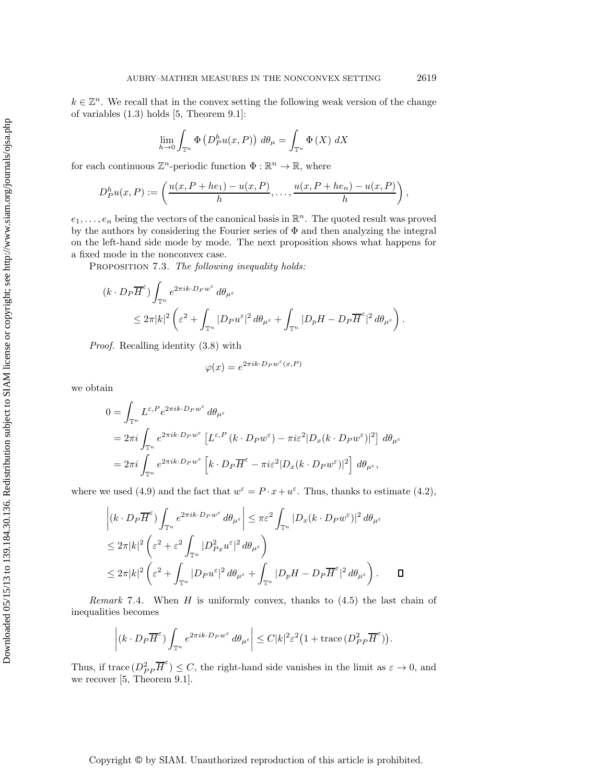$k \in \mathbb{Z}^n$ . We recall that in the convex setting the following weak version of the change of variables (1.3) holds [5, Theorem 9.1]:

$$
\lim_{h \to 0} \int_{\mathbb{T}^n} \Phi\left(D_P^h u(x, P)\right) d\theta_\mu = \int_{\mathbb{T}^n} \Phi\left(X\right) dX
$$

for each continuous  $\mathbb{Z}^n$ -periodic function  $\Phi : \mathbb{R}^n \to \mathbb{R}$ , where

$$
D_P^h u(x,P) := \left(\frac{u(x,P+he_1)-u(x,P)}{h},\ldots,\frac{u(x,P+he_n)-u(x,P)}{h}\right),
$$

 $e_1, \ldots, e_n$  being the vectors of the canonical basis in  $\mathbb{R}^n$ . The quoted result was proved by the authors by considering the Fourier series of Φ and then analyzing the integral on the left-hand side mode by mode. The next proposition shows what happens for a fixed mode in the nonconvex case.

Proposition 7.3. *The following inequality holds:*

$$
(k \cdot D_P \overline{H}^{\varepsilon}) \int_{\mathbb{T}^n} e^{2\pi i k \cdot D_P w^{\varepsilon}} d\theta_{\mu^{\varepsilon}} d\theta_{\mu^{\varepsilon}} \n\leq 2\pi |k|^2 \left( \varepsilon^2 + \int_{\mathbb{T}^n} |D_P u^{\varepsilon}|^2 d\theta_{\mu^{\varepsilon}} + \int_{\mathbb{T}^n} |D_p H - D_P \overline{H}^{\varepsilon}|^2 d\theta_{\mu^{\varepsilon}} \right).
$$

*Proof.* Recalling identity (3.8) with

$$
\varphi(x) = e^{2\pi i k \cdot D_P w^{\varepsilon}(x, P)}
$$

we obtain

$$
0 = \int_{\mathbb{T}^n} L^{\varepsilon, P} e^{2\pi i k \cdot D_P w^{\varepsilon}} d\theta_{\mu^{\varepsilon}}
$$
  
=  $2\pi i \int_{\mathbb{T}^n} e^{2\pi i k \cdot D_P w^{\varepsilon}} \left[ L^{\varepsilon, P} (k \cdot D_P w^{\varepsilon}) - \pi i \varepsilon^2 |D_x (k \cdot D_P w^{\varepsilon})|^2 \right] d\theta_{\mu^{\varepsilon}}$   
=  $2\pi i \int_{\mathbb{T}^n} e^{2\pi i k \cdot D_P w^{\varepsilon}} \left[ k \cdot D_P \overline{H}^{\varepsilon} - \pi i \varepsilon^2 |D_x (k \cdot D_P w^{\varepsilon})|^2 \right] d\theta_{\mu^{\varepsilon}},$ 

where we used (4.9) and the fact that  $w^{\varepsilon} = P \cdot x + u^{\varepsilon}$ . Thus, thanks to estimate (4.2),

$$
\left| (k \cdot D_P \overline{H}^{\epsilon}) \int_{\mathbb{T}^n} e^{2\pi i k \cdot D_P w^{\epsilon}} d\theta_{\mu^{\epsilon}} \right| \leq \pi \varepsilon^2 \int_{\mathbb{T}^n} |D_x(k \cdot D_P w^{\epsilon})|^2 d\theta_{\mu^{\epsilon}} \n\leq 2\pi |k|^2 \left( \varepsilon^2 + \varepsilon^2 \int_{\mathbb{T}^n} |D_{Px}^2 u^{\epsilon}|^2 d\theta_{\mu^{\epsilon}} \right) \n\leq 2\pi |k|^2 \left( \varepsilon^2 + \int_{\mathbb{T}^n} |D_P u^{\epsilon}|^2 d\theta_{\mu^{\epsilon}} + \int_{\mathbb{T}^n} |D_p H - D_P \overline{H}^{\epsilon}|^2 d\theta_{\mu^{\epsilon}} \right). \qquad \Box
$$

*Remark* 7.4. When H is uniformly convex, thanks to (4.5) the last chain of inequalities becomes

$$
\left| (k \cdot D_P \overline{H}^{\epsilon}) \int_{\mathbb{T}^n} e^{2\pi i k \cdot D_P w^{\epsilon}} d\theta_{\mu^{\epsilon}} \right| \leq C |k|^2 \varepsilon^2 \left( 1 + \text{trace} \left( D_{PP}^2 \overline{H}^{\epsilon} \right) \right).
$$

Thus, if trace  $(D_P^2 \overline{H}^{\epsilon}) \leq C$ , the right-hand side vanishes in the limit as  $\varepsilon \to 0$ , and we recover [5, Theorem 9.1].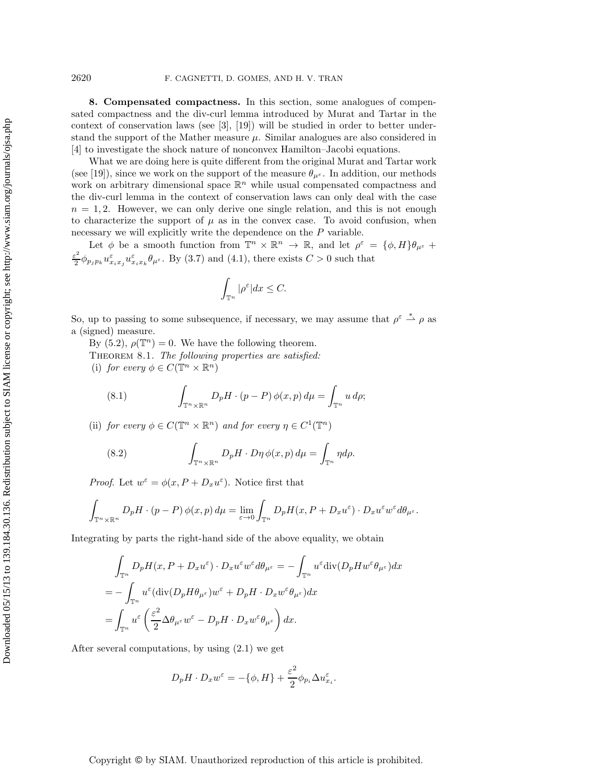**8. Compensated compactness.** In this section, some analogues of compensated compactness and the div-curl lemma introduced by Murat and Tartar in the context of conservation laws (see [3], [19]) will be studied in order to better understand the support of the Mather measure  $\mu$ . Similar analogues are also considered in [4] to investigate the shock nature of nonconvex Hamilton–Jacobi equations.

What we are doing here is quite different from the original Murat and Tartar work (see [19]), since we work on the support of the measure  $\theta_{\mu^{\varepsilon}}$ . In addition, our methods work on arbitrary dimensional space  $\mathbb{R}^n$  while usual compensated compactness and the div-curl lemma in the context of conservation laws can only deal with the case  $n = 1, 2$ . However, we can only derive one single relation, and this is not enough to characterize the support of  $\mu$  as in the convex case. To avoid confusion, when necessary we will explicitly write the dependence on the P variable.

Let  $\phi$  be a smooth function from  $\mathbb{T}^n \times \mathbb{R}^n \to \mathbb{R}$ , and let  $\rho^{\varepsilon} = {\phi, H}_{\theta}$ ,  $\theta_{\mu^{\varepsilon}}$  $\frac{\varepsilon^2}{2} \phi_{p_j p_k} u_{x_i x_j} \varepsilon u_{x_i x_k} \theta_{\mu^{\varepsilon}}$ . By (3.7) and (4.1), there exists  $C > 0$  such that

$$
\int_{\mathbb{T}^n} |\rho^{\varepsilon}| dx \leq C.
$$

So, up to passing to some subsequence, if necessary, we may assume that  $\rho^{\varepsilon} \stackrel{*}{\rightharpoonup} \rho$  as a (signed) measure.

By (5.2),  $\rho(\mathbb{T}^n) = 0$ . We have the following theorem.

Theorem 8.1. *The following properties are satisfied:* (i) *for every*  $\phi \in C(\mathbb{T}^n \times \mathbb{R}^n)$ 

(8.1) 
$$
\int_{\mathbb{T}^n \times \mathbb{R}^n} D_p H \cdot (p - P) \phi(x, p) d\mu = \int_{\mathbb{T}^n} u d\rho;
$$

(ii) *for every*  $\phi \in C(\mathbb{T}^n \times \mathbb{R}^n)$  *and for every*  $\eta \in C^1(\mathbb{T}^n)$ 

(8.2) 
$$
\int_{\mathbb{T}^n \times \mathbb{R}^n} D_p H \cdot D \eta \phi(x, p) d\mu = \int_{\mathbb{T}^n} \eta d\rho.
$$

*Proof.* Let  $w^{\varepsilon} = \phi(x, P + D_x u^{\varepsilon})$ . Notice first that

$$
\int_{\mathbb{T}^n \times \mathbb{R}^n} D_p H \cdot (p - P) \phi(x, p) d\mu = \lim_{\varepsilon \to 0} \int_{\mathbb{T}^n} D_p H(x, P + D_x u^{\varepsilon}) \cdot D_x u^{\varepsilon} w^{\varepsilon} d\theta_{\mu^{\varepsilon}}.
$$

Integrating by parts the right-hand side of the above equality, we obtain

$$
\int_{\mathbb{T}^n} D_p H(x, P + D_x u^{\varepsilon}) \cdot D_x u^{\varepsilon} w^{\varepsilon} d\theta_{\mu^{\varepsilon}} = -\int_{\mathbb{T}^n} u^{\varepsilon} \text{div}(D_p H w^{\varepsilon} \theta_{\mu^{\varepsilon}}) dx
$$
  
= 
$$
-\int_{\mathbb{T}^n} u^{\varepsilon} (\text{div}(D_p H \theta_{\mu^{\varepsilon}}) w^{\varepsilon} + D_p H \cdot D_x w^{\varepsilon} \theta_{\mu^{\varepsilon}}) dx
$$
  
= 
$$
\int_{\mathbb{T}^n} u^{\varepsilon} \left( \frac{\varepsilon^2}{2} \Delta \theta_{\mu^{\varepsilon}} w^{\varepsilon} - D_p H \cdot D_x w^{\varepsilon} \theta_{\mu^{\varepsilon}} \right) dx.
$$

After several computations, by using (2.1) we get

$$
D_p H \cdot D_x w^{\varepsilon} = -\{\phi, H\} + \frac{\varepsilon^2}{2} \phi_{p_i} \Delta u^{\varepsilon}_{x_i}.
$$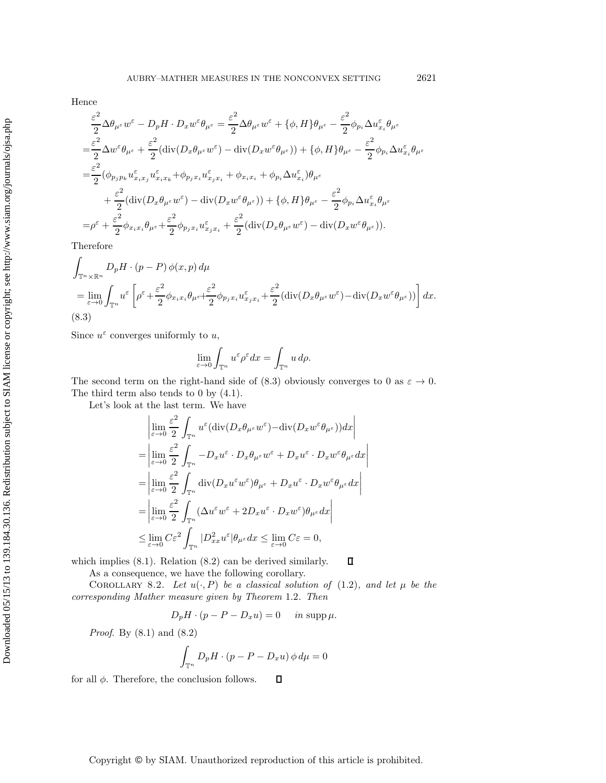Hence

$$
\frac{\varepsilon^2}{2} \Delta \theta_{\mu^{\varepsilon}} w^{\varepsilon} - D_p H \cdot D_x w^{\varepsilon} \theta_{\mu^{\varepsilon}} = \frac{\varepsilon^2}{2} \Delta \theta_{\mu^{\varepsilon}} w^{\varepsilon} + \{\phi, H\} \theta_{\mu^{\varepsilon}} - \frac{\varepsilon^2}{2} \phi_{p_i} \Delta u^{\varepsilon}_{x_i} \theta_{\mu^{\varepsilon}}
$$
\n
$$
= \frac{\varepsilon^2}{2} \Delta w^{\varepsilon} \theta_{\mu^{\varepsilon}} + \frac{\varepsilon^2}{2} (\text{div}(D_x \theta_{\mu^{\varepsilon}} w^{\varepsilon}) - \text{div}(D_x w^{\varepsilon} \theta_{\mu^{\varepsilon}})) + \{\phi, H\} \theta_{\mu^{\varepsilon}} - \frac{\varepsilon^2}{2} \phi_{p_i} \Delta u^{\varepsilon}_{x_i} \theta_{\mu^{\varepsilon}}
$$
\n
$$
= \frac{\varepsilon^2}{2} (\phi_{p_j p_k} u^{\varepsilon}_{x_i x_j} u^{\varepsilon}_{x_i x_k} + \phi_{p_j x_i} u^{\varepsilon}_{x_j x_i} + \phi_{x_i x_i} + \phi_{p_i} \Delta u^{\varepsilon}_{x_i}) \theta_{\mu^{\varepsilon}}
$$
\n
$$
+ \frac{\varepsilon^2}{2} (\text{div}(D_x \theta_{\mu^{\varepsilon}} w^{\varepsilon}) - \text{div}(D_x w^{\varepsilon} \theta_{\mu^{\varepsilon}})) + \{\phi, H\} \theta_{\mu^{\varepsilon}} - \frac{\varepsilon^2}{2} \phi_{p_i} \Delta u^{\varepsilon}_{x_i} \theta_{\mu^{\varepsilon}}
$$
\n
$$
= \rho^{\varepsilon} + \frac{\varepsilon^2}{2} \phi_{x_i x_i} \theta_{\mu^{\varepsilon}} + \frac{\varepsilon^2}{2} \phi_{p_j x_i} u^{\varepsilon}_{x_j x_i} + \frac{\varepsilon^2}{2} (\text{div}(D_x \theta_{\mu^{\varepsilon}} w^{\varepsilon}) - \text{div}(D_x w^{\varepsilon} \theta_{\mu^{\varepsilon}})).
$$

Therefore

$$
\int_{\mathbb{T}^n \times \mathbb{R}^n} D_p H \cdot (p - P) \phi(x, p) d\mu
$$
\n
$$
= \lim_{\varepsilon \to 0} \int_{\mathbb{T}^n} u^{\varepsilon} \left[ \rho^{\varepsilon} + \frac{\varepsilon^2}{2} \phi_{x_i x_i} \theta_{\mu^{\varepsilon}} + \frac{\varepsilon^2}{2} \phi_{p_j x_i} u^{\varepsilon}_{x_j x_i} + \frac{\varepsilon^2}{2} (\text{div}(D_x \theta_{\mu^{\varepsilon}} w^{\varepsilon}) - \text{div}(D_x w^{\varepsilon} \theta_{\mu^{\varepsilon}})) \right] dx.
$$
\n(8.3)

Since  $u^{\varepsilon}$  converges uniformly to u,

$$
\lim_{\varepsilon \to 0} \int_{\mathbb{T}^n} u^{\varepsilon} \rho^{\varepsilon} dx = \int_{\mathbb{T}^n} u \, d\rho.
$$

The second term on the right-hand side of (8.3) obviously converges to 0 as  $\varepsilon \to 0$ . The third term also tends to 0 by (4.1).

Let's look at the last term. We have

$$
\begin{split}\n&\left|\lim_{\varepsilon\to 0}\frac{\varepsilon^2}{2}\int_{\mathbb{T}^n}u^\varepsilon(\text{div}(D_x\theta_{\mu^\varepsilon}w^\varepsilon)-\text{div}(D_xw^\varepsilon\theta_{\mu^\varepsilon}))dx\right| \\
&=\left|\lim_{\varepsilon\to 0}\frac{\varepsilon^2}{2}\int_{\mathbb{T}^n}-D_xu^\varepsilon\cdot D_x\theta_{\mu^\varepsilon}w^\varepsilon+D_xu^\varepsilon\cdot D_xw^\varepsilon\theta_{\mu^\varepsilon}dx\right| \\
&=\left|\lim_{\varepsilon\to 0}\frac{\varepsilon^2}{2}\int_{\mathbb{T}^n}\text{div}(D_xu^\varepsilon w^\varepsilon)\theta_{\mu^\varepsilon}+D_xu^\varepsilon\cdot D_xw^\varepsilon\theta_{\mu^\varepsilon}dx\right| \\
&=\left|\lim_{\varepsilon\to 0}\frac{\varepsilon^2}{2}\int_{\mathbb{T}^n}(\Delta u^\varepsilon w^\varepsilon+2D_xu^\varepsilon\cdot D_xw^\varepsilon)\theta_{\mu^\varepsilon}dx\right| \\
&\leq \lim_{\varepsilon\to 0}C\varepsilon^2\int_{\mathbb{T}^n}|D^2_{xx}u^\varepsilon|\theta_{\mu^\varepsilon}dx\leq \lim_{\varepsilon\to 0}C\varepsilon=0,\n\end{split}
$$

which implies  $(8.1)$ . Relation  $(8.2)$  can be derived similarly.

As a consequence, we have the following corollary.

COROLLARY 8.2. Let  $u(\cdot, P)$  be a classical solution of (1.2), and let  $\mu$  be the *corresponding Mather measure given by Theorem* 1.2*. Then*

 $\Box$ 

$$
D_p H \cdot (p - P - D_x u) = 0 \quad \text{in } \operatorname{supp} \mu.
$$

*Proof*. By (8.1) and (8.2)

$$
\int_{\mathbb{T}^n} D_p H \cdot (p - P - D_x u) \phi \, d\mu = 0
$$

for all  $\phi$ . Therefore, the conclusion follows.  $\Box$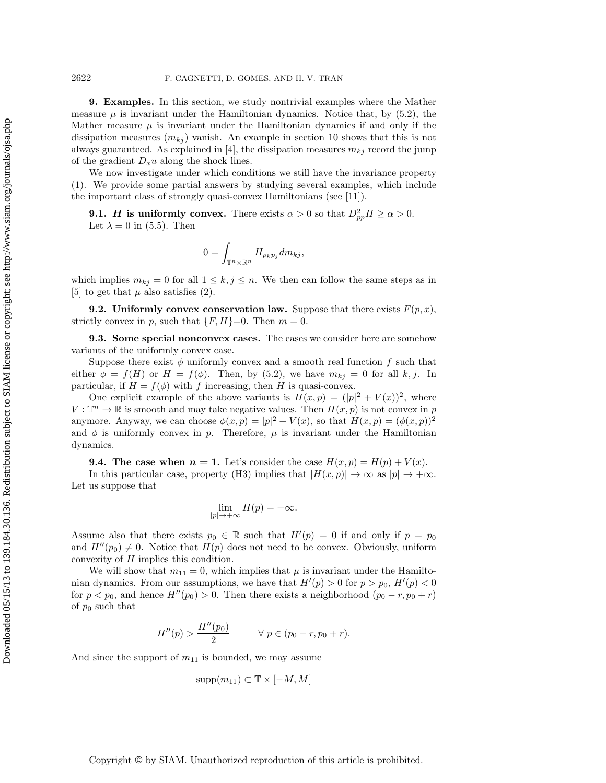**9. Examples.** In this section, we study nontrivial examples where the Mather measure  $\mu$  is invariant under the Hamiltonian dynamics. Notice that, by (5.2), the Mather measure  $\mu$  is invariant under the Hamiltonian dynamics if and only if the dissipation measures  $(m_{kj})$  vanish. An example in section 10 shows that this is not always guaranteed. As explained in [4], the dissipation measures  $m_{kj}$  record the jump of the gradient  $D_xu$  along the shock lines.

We now investigate under which conditions we still have the invariance property (1). We provide some partial answers by studying several examples, which include the important class of strongly quasi-convex Hamiltonians (see [11]).

**9.1.** *H* is uniformly convex. There exists  $\alpha > 0$  so that  $D_{vp}^2 H \ge \alpha > 0$ . Let  $\lambda = 0$  in (5.5). Then

$$
0=\int_{\mathbb{T}^n\times\mathbb{R}^n}H_{p_kp_j}dm_{kj},
$$

which implies  $m_{kj} = 0$  for all  $1 \leq k, j \leq n$ . We then can follow the same steps as in [5] to get that  $\mu$  also satisfies (2).

**9.2.** Uniformly convex conservation law. Suppose that there exists  $F(p, x)$ , strictly convex in p, such that  $\{F, H\}=0$ . Then  $m=0$ .

**9.3. Some special nonconvex cases.** The cases we consider here are somehow variants of the uniformly convex case.

Suppose there exist  $\phi$  uniformly convex and a smooth real function f such that either  $\phi = f(H)$  or  $H = f(\phi)$ . Then, by (5.2), we have  $m_{kj} = 0$  for all k, j. In particular, if  $H = f(\phi)$  with f increasing, then H is quasi-convex.

One explicit example of the above variants is  $H(x,p) = (|p|^2 + V(x))^2$ , where  $V : \mathbb{T}^n \to \mathbb{R}$  is smooth and may take negative values. Then  $H(x, p)$  is not convex in p anymore. Anyway, we can choose  $\phi(x, p) = |p|^2 + V(x)$ , so that  $H(x, p) = (\phi(x, p))^2$ and  $\phi$  is uniformly convex in p. Therefore,  $\mu$  is invariant under the Hamiltonian dynamics.

**9.4. The case when**  $n = 1$ **.** Let's consider the case  $H(x, p) = H(p) + V(x)$ .

In this particular case, property (H3) implies that  $|H(x,p)| \to \infty$  as  $|p| \to +\infty$ . Let us suppose that

$$
\lim_{|p|\to+\infty}H(p)=+\infty.
$$

Assume also that there exists  $p_0 \in \mathbb{R}$  such that  $H'(p) = 0$  if and only if  $p = p_0$ and  $H''(p_0) \neq 0$ . Notice that  $H(p)$  does not need to be convex. Obviously, uniform convexity of H implies this condition.

We will show that  $m_{11} = 0$ , which implies that  $\mu$  is invariant under the Hamiltonian dynamics. From our assumptions, we have that  $H'(p) > 0$  for  $p > p_0$ ,  $H'(p) < 0$ for  $p < p_0$ , and hence  $H''(p_0) > 0$ . Then there exists a neighborhood  $(p_0 - r, p_0 + r)$ of  $p_0$  such that

$$
H''(p) > \frac{H''(p_0)}{2} \qquad \forall \ p \in (p_0 - r, p_0 + r).
$$

And since the support of  $m_{11}$  is bounded, we may assume

$$
supp(m_{11}) \subset \mathbb{T} \times [-M, M]
$$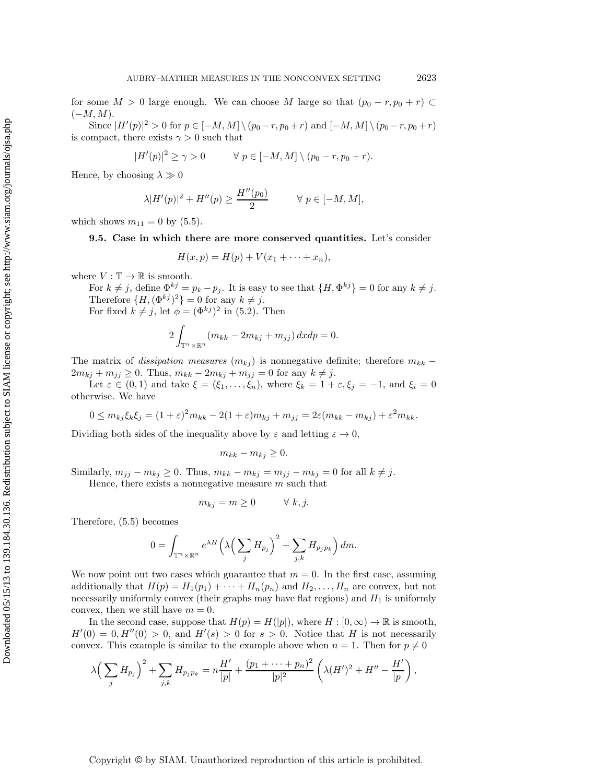for some  $M > 0$  large enough. We can choose M large so that  $(p_0 - r, p_0 + r) \subset$  $(-M, M).$ 

Since  $|H'(p)|^2 > 0$  for  $p \in [-M, M] \setminus (p_0 - r, p_0 + r)$  and  $[-M, M] \setminus (p_0 - r, p_0 + r)$ is compact, there exists  $\gamma > 0$  such that

$$
|H'(p)|^2 \ge \gamma > 0 \qquad \forall \ p \in [-M, M] \setminus (p_0 - r, p_0 + r).
$$

Hence, by choosing  $\lambda \gg 0$ 

$$
\lambda |H'(p)|^2 + H''(p) \ge \frac{H''(p_0)}{2} \qquad \forall p \in [-M, M],
$$

which shows  $m_{11} = 0$  by  $(5.5)$ .

**9.5. Case in which there are more conserved quantities.** Let's consider

$$
H(x,p) = H(p) + V(x_1 + \cdots + x_n),
$$

where  $V : \mathbb{T} \to \mathbb{R}$  is smooth.

For  $k \neq j$ , define  $\Phi^{kj} = p_k - p_j$ . It is easy to see that  $\{H, \Phi^{kj}\} = 0$  for any  $k \neq j$ . Therefore  $\{H, (\Phi^{kj})^2\} = 0$  for any  $k \neq j$ .

For fixed  $k \neq j$ , let  $\phi = (\Phi^{kj})^2$  in (5.2). Then

$$
2\int_{\mathbb{T}^n\times\mathbb{R}^n} (m_{kk} - 2m_{kj} + m_{jj})\,dxdp = 0.
$$

The matrix of *dissipation measures*  $(m_{kj})$  is nonnegative definite; therefore  $m_{kk}$  –  $2m_{kj} + m_{jj} \ge 0$ . Thus,  $m_{kk} - 2m_{kj} + m_{jj} = 0$  for any  $k \ne j$ .

Let  $\varepsilon \in (0,1)$  and take  $\xi = (\xi_1,\ldots,\xi_n)$ , where  $\xi_k = 1 + \varepsilon, \xi_j = -1$ , and  $\xi_i = 0$ otherwise. We have

$$
0 \leq m_{kj}\xi_k\xi_j = (1+\varepsilon)^2 m_{kk} - 2(1+\varepsilon)m_{kj} + m_{jj} = 2\varepsilon(m_{kk} - m_{kj}) + \varepsilon^2 m_{kk}.
$$

Dividing both sides of the inequality above by  $\varepsilon$  and letting  $\varepsilon \to 0$ ,

$$
m_{kk} - m_{kj} \ge 0.
$$

Similarly,  $m_{jj} - m_{kj} \ge 0$ . Thus,  $m_{kk} - m_{kj} = m_{jj} - m_{kj} = 0$  for all  $k \ne j$ . Hence, there exists a nonnegative measure  $m$  such that

$$
m_{kj} = m \ge 0 \qquad \forall \ k, j.
$$

Therefore, (5.5) becomes

$$
0 = \int_{\mathbb{T}^n \times \mathbb{R}^n} e^{\lambda H} \left( \lambda \left( \sum_j H_{p_j} \right)^2 + \sum_{j,k} H_{p_j p_k} \right) dm.
$$

We now point out two cases which guarantee that  $m = 0$ . In the first case, assuming additionally that  $H(p) = H_1(p_1) + \cdots + H_n(p_n)$  and  $H_2, \ldots, H_n$  are convex, but not necessarily uniformly convex (their graphs may have flat regions) and  $H_1$  is uniformly convex, then we still have  $m = 0$ .

In the second case, suppose that  $H(p) = H(|p|)$ , where  $H : [0, \infty) \to \mathbb{R}$  is smooth,  $H'(0) = 0$ ,  $H''(0) > 0$ , and  $H'(s) > 0$  for  $s > 0$ . Notice that H is not necessarily convex. This example is similar to the example above when  $n = 1$ . Then for  $p \neq 0$ 

$$
\lambda \left( \sum_{j} H_{p_j} \right)^2 + \sum_{j,k} H_{p_j p_k} = n \frac{H'}{|p|} + \frac{(p_1 + \dots + p_n)^2}{|p|^2} \left( \lambda (H')^2 + H'' - \frac{H'}{|p|} \right),
$$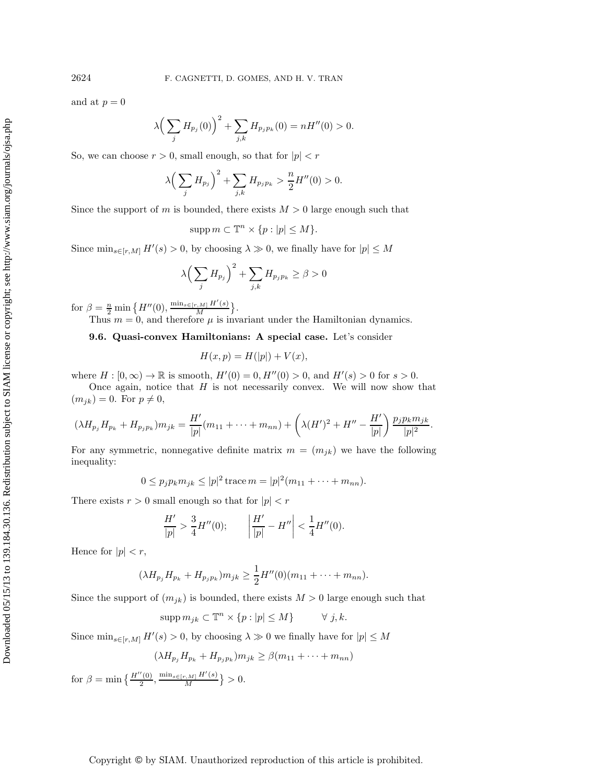and at  $p = 0$ 

$$
\lambda \left( \sum_{j} H_{p_j}(0) \right)^2 + \sum_{j,k} H_{p_j p_k}(0) = n H''(0) > 0.
$$

So, we can choose  $r > 0$ , small enough, so that for  $|p| < r$ 

$$
\lambda \left( \sum_{j} H_{p_j} \right)^2 + \sum_{j,k} H_{p_j p_k} > \frac{n}{2} H''(0) > 0.
$$

Since the support of m is bounded, there exists  $M > 0$  large enough such that

$$
\operatorname{supp} m \subset \mathbb{T}^n \times \{p : |p| \le M\}.
$$

Since  $\min_{s \in [r,M]} H'(s) > 0$ , by choosing  $\lambda \gg 0$ , we finally have for  $|p| \leq M$ 

$$
\lambda \left(\sum_{j} H_{p_j}\right)^2 + \sum_{j,k} H_{p_j p_k} \ge \beta > 0
$$

for  $\beta = \frac{n}{2} \min \{ H''(0), \frac{\min_{s \in [r,M]} H'(s)}{M} \}.$ 

Thus  $m = 0$ , and therefore  $\mu$  is invariant under the Hamiltonian dynamics.

**9.6. Quasi-convex Hamiltonians: A special case.** Let's consider

$$
H(x, p) = H(|p|) + V(x),
$$

where  $H : [0, \infty) \to \mathbb{R}$  is smooth,  $H'(0) = 0$ ,  $H''(0) > 0$ , and  $H'(s) > 0$  for  $s > 0$ .

Once again, notice that  $H$  is not necessarily convex. We will now show that  $(m_{jk}) = 0$ . For  $p \neq 0$ ,

$$
(\lambda H_{p_j} H_{p_k} + H_{p_j p_k}) m_{jk} = \frac{H'}{|p|} (m_{11} + \dots + m_{nn}) + \left( \lambda (H')^2 + H'' - \frac{H'}{|p|} \right) \frac{p_j p_k m_{jk}}{|p|^2}.
$$

For any symmetric, nonnegative definite matrix  $m = (m_{jk})$  we have the following inequality:

$$
0 \le p_j p_k m_{jk} \le |p|^2 \operatorname{trace} m = |p|^2 (m_{11} + \dots + m_{nn}).
$$

There exists  $r > 0$  small enough so that for  $|p| < r$ 

$$
\frac{H'}{|p|} > \frac{3}{4}H''(0); \qquad \left|\frac{H'}{|p|} - H''\right| < \frac{1}{4}H''(0).
$$

Hence for  $|p| < r$ ,

$$
(\lambda H_{p_j} H_{p_k} + H_{p_j p_k}) m_{jk} \ge \frac{1}{2} H''(0) (m_{11} + \dots + m_{nn}).
$$

Since the support of  $(m_{jk})$  is bounded, there exists  $M > 0$  large enough such that

$$
supp m_{jk} \subset \mathbb{T}^n \times \{p : |p| \le M\} \qquad \forall j, k.
$$

Since  $\min_{s \in [r,M]} H'(s) > 0$ , by choosing  $\lambda \gg 0$  we finally have for  $|p| \leq M$ 

$$
(\lambda H_{p_j} H_{p_k} + H_{p_j p_k}) m_{jk} \ge \beta (m_{11} + \dots + m_{nn})
$$
  
for  $\beta = \min \left\{ \frac{H''(0)}{2}, \frac{\min_{s \in [r, M]} H'(s)}{M} \right\} > 0.$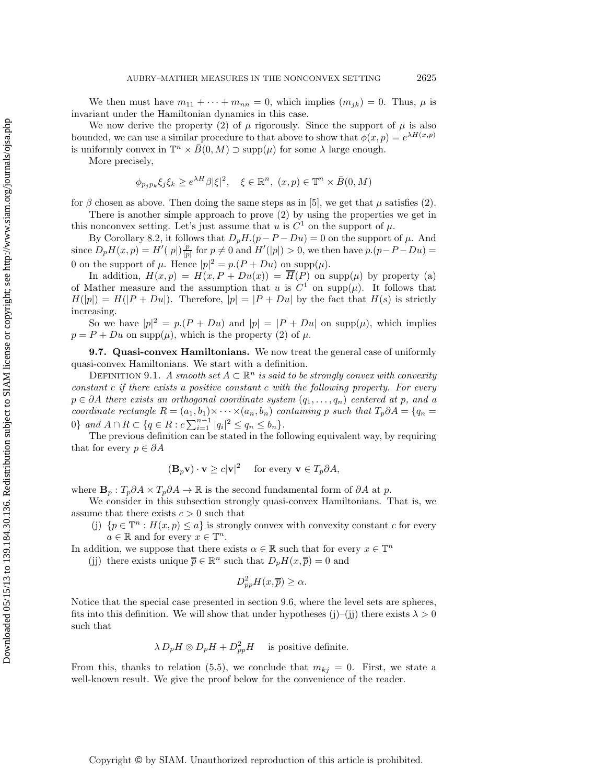We then must have  $m_{11} + \cdots + m_{nn} = 0$ , which implies  $(m_{jk}) = 0$ . Thus,  $\mu$  is invariant under the Hamiltonian dynamics in this case.

We now derive the property (2) of  $\mu$  rigorously. Since the support of  $\mu$  is also bounded, we can use a similar procedure to that above to show that  $\phi(x, p) = e^{\lambda H(x, p)}$ is uniformly convex in  $\mathbb{T}^n \times \overline{B}(0, M) \supset \text{supp}(\mu)$  for some  $\lambda$  large enough.

More precisely,

$$
\phi_{p_j p_k} \xi_j \xi_k \ge e^{\lambda H} \beta |\xi|^2, \quad \xi \in \mathbb{R}^n, \ (x, p) \in \mathbb{T}^n \times \overline{B}(0, M)
$$

for  $\beta$  chosen as above. Then doing the same steps as in [5], we get that  $\mu$  satisfies (2).

There is another simple approach to prove (2) by using the properties we get in this nonconvex setting. Let's just assume that u is  $C^1$  on the support of  $\mu$ .

By Corollary 8.2, it follows that  $D_pH(p-P-Du)=0$  on the support of  $\mu$ . And since  $D_p H(x, p) = H'(|p|) \frac{p}{|p|}$  for  $p \neq 0$  and  $H'(|p|) > 0$ , we then have  $p.(p-P-Du) =$ 0 on the support of  $\mu$ . Hence  $|p|^2 = p(P + Du)$  on supp $(\mu)$ .

In addition,  $H(x, p) = H(x, P + Du(x)) = \overline{H}(P)$  on supp $(\mu)$  by property (a) of Mather measure and the assumption that u is  $C^1$  on supp $(\mu)$ . It follows that  $H(|p|) = H(|P + Du|)$ . Therefore,  $|p| = |P + Du|$  by the fact that  $H(s)$  is strictly increasing.

So we have  $|p|^2 = p(P + Du)$  and  $|p| = |P + Du|$  on supp $(\mu)$ , which implies  $p = P + Du$  on supp $(\mu)$ , which is the property (2) of  $\mu$ .

**9.7. Quasi-convex Hamiltonians.** We now treat the general case of uniformly quasi-convex Hamiltonians. We start with a definition.

DEFINITION 9.1. *A smooth set*  $A \subset \mathbb{R}^n$  *is said to be strongly convex with convexity constant* c *if there exists a positive constant* c *with the following property. For every* p ∈ ∂A *there exists an orthogonal coordinate system* (q1,...,qn) *centered at* p*, and a coordinate rectangle*  $R = (a_1, b_1) \times \cdots \times (a_n, b_n)$  *containing* p *such that*  $T_p \partial A = \{q_n =$ 0} and  $A \cap R \subset \{q \in R : c \sum_{i=1}^{n-1} |q_i|^2 \leq q_n \leq b_n\}.$ 

The previous definition can be stated in the following equivalent way, by requiring that for every  $p \in \partial A$ 

$$
(\mathbf{B}_p \mathbf{v}) \cdot \mathbf{v} \ge c |\mathbf{v}|^2
$$
 for every  $\mathbf{v} \in T_p \partial A$ ,

where  $\mathbf{B}_p : T_p \partial A \times T_p \partial A \to \mathbb{R}$  is the second fundamental form of  $\partial A$  at p.

We consider in this subsection strongly quasi-convex Hamiltonians. That is, we assume that there exists  $c > 0$  such that

(j)  $\{p \in \mathbb{T}^n : H(x, p) \leq a\}$  is strongly convex with convexity constant c for every  $a \in \mathbb{R}$  and for every  $x \in \mathbb{T}^n$ .

In addition, we suppose that there exists  $\alpha \in \mathbb{R}$  such that for every  $x \in \mathbb{T}^n$ 

(ii) there exists unique  $\overline{p} \in \mathbb{R}^n$  such that  $D_pH(x, \overline{p}) = 0$  and

$$
D_{pp}^2 H(x,\overline{p}) \ge \alpha.
$$

Notice that the special case presented in section 9.6, where the level sets are spheres, fits into this definition. We will show that under hypotheses (j)–(j) there exists  $\lambda > 0$ such that

$$
\lambda D_p H \otimes D_p H + D_{pp}^2 H
$$
 is positive definite.

From this, thanks to relation (5.5), we conclude that  $m_{kj} = 0$ . First, we state a well-known result. We give the proof below for the convenience of the reader.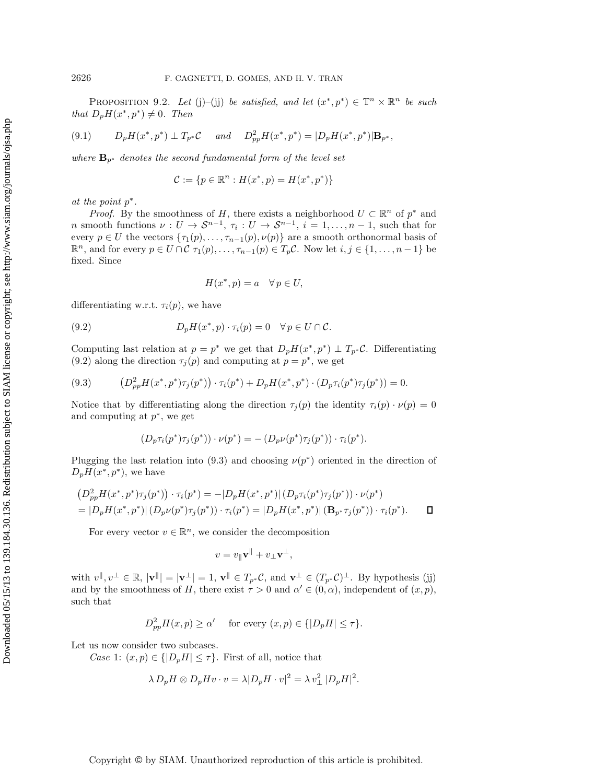PROPOSITION 9.2. *Let* (j)–(j) *be satisfied, and let*  $(x^*, p^*) \in \mathbb{T}^n \times \mathbb{R}^n$  *be such that*  $D_pH(x^*,p^*) \neq 0$ *. Then* 

$$
(9.1) \tD_p H(x^*, p^*) \perp T_{p^*} C \t and \tD_{pp}^2 H(x^*, p^*) = |D_p H(x^*, p^*)| \mathbf{B}_{p^*},
$$

*where*  $\mathbf{B}_{p^*}$  *denotes the second fundamental form of the level set* 

$$
\mathcal{C} := \{ p \in \mathbb{R}^n : H(x^*, p) = H(x^*, p^*) \}
$$

*at the point* p∗*.*

*Proof.* By the smoothness of H, there exists a neighborhood  $U \subset \mathbb{R}^n$  of  $p^*$  and n smooth functions  $\nu: U \to \mathcal{S}^{n-1}, \tau_i: U \to \mathcal{S}^{n-1}, i = 1, \ldots, n-1$ , such that for every  $p \in U$  the vectors  $\{\tau_1(p), \ldots, \tau_{n-1}(p), \nu(p)\}\$  are a smooth orthonormal basis of  $\mathbb{R}^n$ , and for every  $p \in U \cap C$   $\tau_1(p), \ldots, \tau_{n-1}(p) \in T_p C$ . Now let  $i, j \in \{1, \ldots, n-1\}$  be fixed. Since

$$
H(x^*, p) = a \quad \forall \, p \in U,
$$

differentiating w.r.t.  $\tau_i(p)$ , we have

(9.2) 
$$
D_p H(x^*, p) \cdot \tau_i(p) = 0 \quad \forall \, p \in U \cap \mathcal{C}.
$$

Computing last relation at  $p = p^*$  we get that  $D_pH(x^*, p^*) \perp T_{p^*}C$ . Differentiating (9.2) along the direction  $\tau_j(p)$  and computing at  $p = p^*$ , we get

$$
(9.3) \qquad (D_{pp}^2 H(x^*, p^*) \tau_j(p^*)) \cdot \tau_i(p^*) + D_p H(x^*, p^*) \cdot (D_p \tau_i(p^*) \tau_j(p^*)) = 0.
$$

Notice that by differentiating along the direction  $\tau_i(p)$  the identity  $\tau_i(p) \cdot \nu(p)=0$ and computing at  $p^*$ , we get

$$
(D_p \tau_i(p^*) \tau_j(p^*)) \cdot \nu(p^*) = -(D_p \nu(p^*) \tau_j(p^*)) \cdot \tau_i(p^*).
$$

Plugging the last relation into (9.3) and choosing  $\nu(p^*)$  oriented in the direction of  $D_pH(x^*,p^*)$ , we have

$$
(D_{pp}^{2}H(x^{*},p^{*})\tau_{j}(p^{*})) \cdot \tau_{i}(p^{*}) = -|D_{p}H(x^{*},p^{*})| (D_{p}\tau_{i}(p^{*})\tau_{j}(p^{*})) \cdot \nu(p^{*})
$$
  
=  $|D_{p}H(x^{*},p^{*})| (D_{p}\nu(p^{*})\tau_{j}(p^{*})) \cdot \tau_{i}(p^{*}) = |D_{p}H(x^{*},p^{*})| (\mathbf{B}_{p^{*}}\tau_{j}(p^{*})) \cdot \tau_{i}(p^{*}).$ 

For every vector  $v \in \mathbb{R}^n$ , we consider the decomposition

$$
v = v_{\parallel} \mathbf{v}^{\parallel} + v_{\perp} \mathbf{v}^{\perp},
$$

with  $v^{\parallel}, v^{\perp} \in \mathbb{R}$ ,  $|\mathbf{v}^{\parallel}| = |\mathbf{v}^{\perp}| = 1$ ,  $\mathbf{v}^{\parallel} \in T_{p^*}C$ , and  $\mathbf{v}^{\perp} \in (T_{p^*}C)^{\perp}$ . By hypothesis (jj) and by the smoothness of H, there exist  $\tau > 0$  and  $\alpha' \in (0, \alpha)$ , independent of  $(x, p)$ , such that

$$
D_{pp}^{2}H(x,p) \ge \alpha' \quad \text{ for every } (x,p) \in \{ |D_{p}H| \le \tau \}.
$$

Let us now consider two subcases.

*Case* 1:  $(x, p) \in \{|D_p H| \leq \tau\}$ . First of all, notice that

$$
\lambda D_p H \otimes D_p H v \cdot v = \lambda |D_p H \cdot v|^2 = \lambda v_\perp^2 |D_p H|^2.
$$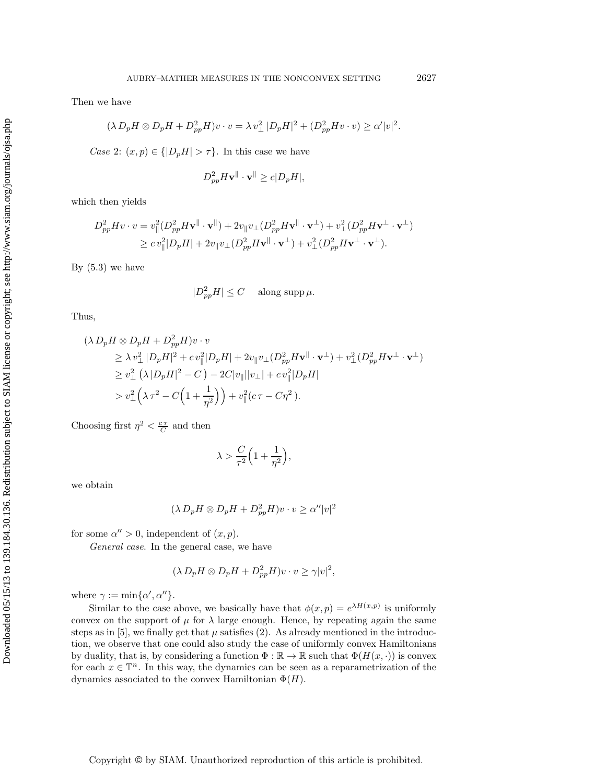Then we have

$$
(\lambda D_p H \otimes D_p H + D_{pp}^2 H)v \cdot v = \lambda v_\perp^2 |D_p H|^2 + (D_{pp}^2 H v \cdot v) \ge \alpha' |v|^2.
$$

*Case* 2:  $(x, p) \in \{|D_p H| > \tau\}$ . In this case we have

$$
D_{pp}^2 H \mathbf{v}^{\parallel} \cdot \mathbf{v}^{\parallel} \ge c |D_p H|,
$$

which then yields

$$
D_{pp}^2 H v \cdot v = v_{\parallel}^2 (D_{pp}^2 H \mathbf{v}^{\parallel} \cdot \mathbf{v}^{\parallel}) + 2v_{\parallel} v_{\perp} (D_{pp}^2 H \mathbf{v}^{\parallel} \cdot \mathbf{v}^{\perp}) + v_{\perp}^2 (D_{pp}^2 H \mathbf{v}^{\perp} \cdot \mathbf{v}^{\perp})
$$
  
\n
$$
\geq c v_{\parallel}^2 |D_p H| + 2v_{\parallel} v_{\perp} (D_{pp}^2 H \mathbf{v}^{\parallel} \cdot \mathbf{v}^{\perp}) + v_{\perp}^2 (D_{pp}^2 H \mathbf{v}^{\perp} \cdot \mathbf{v}^{\perp}).
$$

By  $(5.3)$  we have

$$
|D_{pp}^2 H| \le C \quad \text{ along } \sup \mu.
$$

Thus,

$$
(\lambda D_p H \otimes D_p H + D_{pp}^2 H)v \cdot v
$$
  
\n
$$
\geq \lambda v_\perp^2 |D_p H|^2 + c v_\parallel^2 |D_p H| + 2v_\parallel v_\perp (D_{pp}^2 H \mathbf{v}^\parallel \cdot \mathbf{v}^\perp) + v_\perp^2 (D_{pp}^2 H \mathbf{v}^\perp \cdot \mathbf{v}^\perp)
$$
  
\n
$$
\geq v_\perp^2 (\lambda |D_p H|^2 - C) - 2C|v_\parallel ||v_\perp| + c v_\parallel^2 |D_p H|
$$
  
\n
$$
> v_\perp^2 (\lambda \tau^2 - C \Big( 1 + \frac{1}{\eta^2} \Big) \Big) + v_\parallel^2 (c \tau - C \eta^2).
$$

Choosing first  $\eta^2 < \frac{c\tau}{C}$  and then

$$
\lambda > \frac{C}{\tau^2} \Big( 1 + \frac{1}{\eta^2} \Big),
$$

we obtain

$$
(\lambda D_p H \otimes D_p H + D_{pp}^2 H)v \cdot v \ge \alpha'' |v|^2
$$

for some  $\alpha'' > 0$ , independent of  $(x, p)$ .

*General case*. In the general case, we have

$$
(\lambda D_p H \otimes D_p H + D_{pp}^2 H)v \cdot v \ge \gamma |v|^2,
$$

where  $\gamma := \min{\{\alpha', \alpha''\}}$ .

Similar to the case above, we basically have that  $\phi(x, p) = e^{\lambda H(x, p)}$  is uniformly convex on the support of  $\mu$  for  $\lambda$  large enough. Hence, by repeating again the same steps as in [5], we finally get that  $\mu$  satisfies (2). As already mentioned in the introduction, we observe that one could also study the case of uniformly convex Hamiltonians by duality, that is, by considering a function  $\Phi : \mathbb{R} \to \mathbb{R}$  such that  $\Phi(H(x, \cdot))$  is convex for each  $x \in \mathbb{T}^n$ . In this way, the dynamics can be seen as a reparametrization of the dynamics associated to the convex Hamiltonian  $\Phi(H)$ .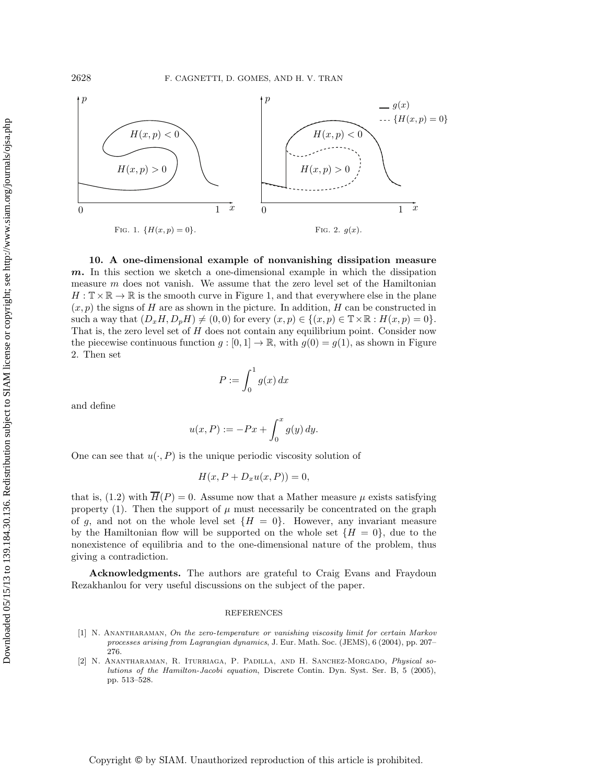

**10. A one-dimensional example of nonvanishing dissipation measure** *m***.** In this section we sketch a one-dimensional example in which the dissipation measure m does not vanish. We assume that the zero level set of the Hamiltonian  $H : \mathbb{T} \times \mathbb{R} \to \mathbb{R}$  is the smooth curve in Figure 1, and that everywhere else in the plane  $(x, p)$  the signs of H are as shown in the picture. In addition, H can be constructed in such a way that  $(D_xH, D_pH) \neq (0,0)$  for every  $(x, p) \in \{(x, p) \in \mathbb{T} \times \mathbb{R} : H(x, p) = 0\}.$ That is, the zero level set of H does not contain any equilibrium point. Consider now the piecewise continuous function  $g : [0, 1] \to \mathbb{R}$ , with  $g(0) = g(1)$ , as shown in Figure 2. Then set

$$
P:=\int_0^1 g(x)\,dx
$$

and define

$$
u(x,P) := -Px + \int_0^x g(y) \, dy.
$$

One can see that  $u(\cdot, P)$  is the unique periodic viscosity solution of

$$
H(x, P + D_x u(x, P)) = 0,
$$

that is, (1.2) with  $\overline{H}(P) = 0$ . Assume now that a Mather measure  $\mu$  exists satisfying property (1). Then the support of  $\mu$  must necessarily be concentrated on the graph of g, and not on the whole level set  $\{H = 0\}$ . However, any invariant measure by the Hamiltonian flow will be supported on the whole set  $\{H = 0\}$ , due to the nonexistence of equilibria and to the one-dimensional nature of the problem, thus giving a contradiction.

**Acknowledgments.** The authors are grateful to Craig Evans and Fraydoun Rezakhanlou for very useful discussions on the subject of the paper.

#### REFERENCES

- [1] N. ANANTHARAMAN, On the zero-temperature or vanishing viscosity limit for certain Markov processes arising from Lagrangian dynamics, J. Eur. Math. Soc. (JEMS), 6 (2004), pp. 207– 276.
- [2] N. Anantharaman, R. Iturriaga, P. Padilla, and H. Sanchez-Morgado, Physical solutions of the Hamilton-Jacobi equation, Discrete Contin. Dyn. Syst. Ser. B, 5 (2005), pp. 513–528.